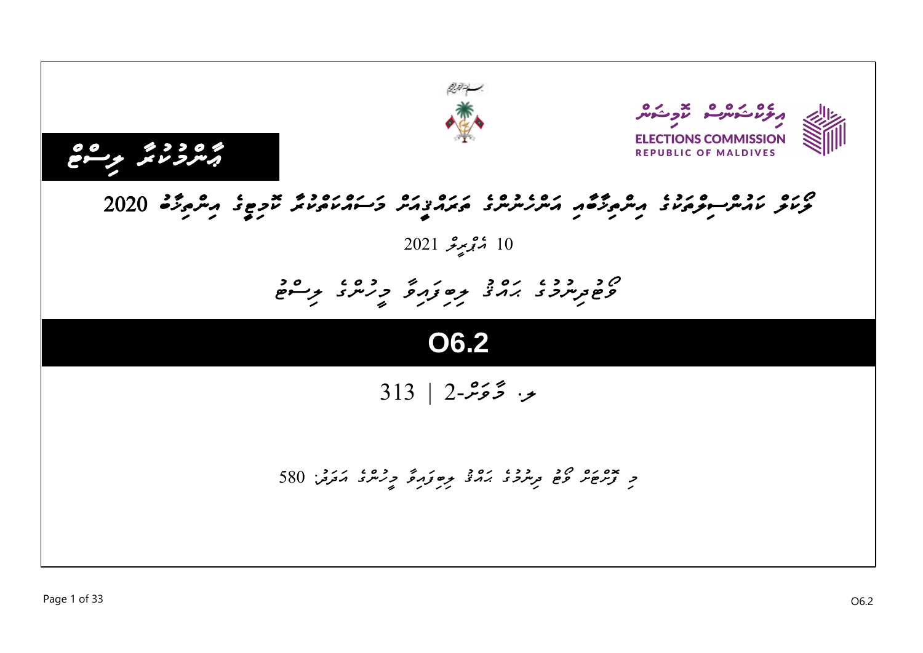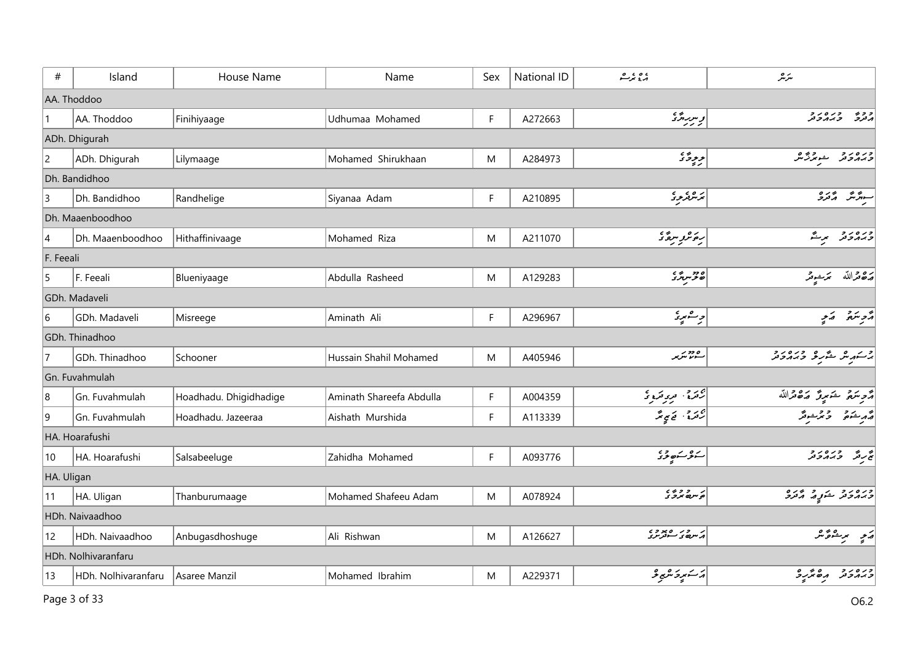| #          | Island              | House Name             | Name                     | Sex       | National ID | ، ه ، مرگ                                   | ىئرىتر                                 |
|------------|---------------------|------------------------|--------------------------|-----------|-------------|---------------------------------------------|----------------------------------------|
|            | AA. Thoddoo         |                        |                          |           |             |                                             |                                        |
|            | AA. Thoddoo         | Finihiyaage            | Udhumaa Mohamed          | F         | A272663     | او مدر پروژه<br><u>اس بر پروژه</u>          | ככש כנסנכ<br>הבקב כגהכבק               |
|            | ADh. Dhigurah       |                        |                          |           |             |                                             |                                        |
|            | ADh. Dhigurah       | Lilymaage              | Mohamed Shirukhaan       | M         | A284973     | ووژگی<br>ر <sub>و</sub> ر                   | ورەرو ھەرئىر                           |
|            | Dh. Bandidhoo       |                        |                          |           |             |                                             |                                        |
| 3          | Dh. Bandidhoo       | Randhelige             | Siyanaa Adam             | F         | A210895     | برىروزىر                                    | سوژنٹر گروچ                            |
|            | Dh. Maaenboodhoo    |                        |                          |           |             |                                             |                                        |
| 14         | Dh. Maaenboodhoo    | Hithaffinivaage        | Mohamed Riza             | M         | A211070     | رۇ ئەبە بىرە ئە                             | ورەرو برگ                              |
| F. Feeali  |                     |                        |                          |           |             |                                             |                                        |
| 5          | F. Feeali           | Blueniyaage            | Abdulla Rasheed          | M         | A129283     | ە دەپەر<br>ھەئرسىرى                         | رەقمەللە ئىرىسوقر                      |
|            | GDh. Madaveli       |                        |                          |           |             |                                             |                                        |
| 6          | GDh. Madaveli       | Misreege               | Aminath Ali              | F         | A296967     | ىر مەمبرى<br>س                              | ړموسره پرېږ                            |
|            | GDh. Thinadhoo      |                        |                          |           |             |                                             |                                        |
|            | GDh. Thinadhoo      | Schooner               | Hussain Shahil Mohamed   | M         | A405946     | ه دد بر پر                                  | و کری گرو وره دو<br>پرکستهر گرو ویروون |
|            | Gn. Fuvahmulah      |                        |                          |           |             |                                             |                                        |
| 8          | Gn. Fuvahmulah      | Hoadhadu. Dhigidhadige | Aminath Shareefa Abdulla | F         | A004359     | ج پر و.<br>  ژنتر و مربو تر و تر و تر       | مُرْحِسَةً سُوَسٍوَّ مَصْقَرَاللَّهُ   |
| 9          | Gn. Fuvahmulah      | Hoadhadu. Jazeeraa     | Aishath Murshida         | F.        | A113339     | ج پر ج .<br>رکور ځ ، سم پو                  | و<br>در شور و بر شورگر                 |
|            | HA. Hoarafushi      |                        |                          |           |             |                                             |                                        |
| 10         | HA. Hoarafushi      | Salsabeeluge           | Zahidha Mohamed          | F         | A093776     | ر دو ر <sub>موم</sub> و د                   | تحريح وره دو                           |
| HA. Uligan |                     |                        |                          |           |             |                                             |                                        |
| 11         | HA. Uligan          | Thanburumaage          | Mohamed Shafeeu Adam     | ${\sf M}$ | A078924     | ر د د د د .<br>می سرچار د                   | ورەر د شرور پردە                       |
|            | HDh. Naivaadhoo     |                        |                          |           |             |                                             |                                        |
| 12         | HDh. Naivaadhoo     | Anbugasdhoshuge        | Ali Rishwan              | M         | A126627     | ر سرچ ر صور و ۽<br>ترسي <i>ھ ي</i> سوٽر سري | ەر<br>مەر بىر ئەر                      |
|            | HDh. Nolhivaranfaru |                        |                          |           |             |                                             |                                        |
| 13         | HDh. Nolhivaranfaru | Asaree Manzil          | Mohamed Ibrahim          | M         | A229371     | ە سەبىر ئەندى <sub>م</sub> بۇ               | ورەرو مەھرىر                           |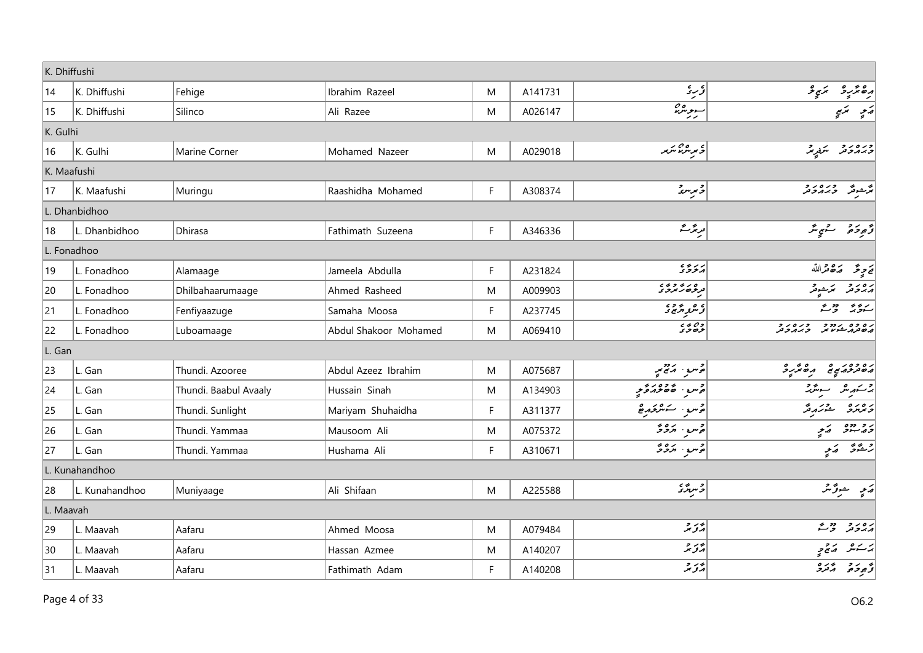| K. Dhiffushi |                |                       |                       |             |         |                                         |                                                                                                                                                                                                                                     |
|--------------|----------------|-----------------------|-----------------------|-------------|---------|-----------------------------------------|-------------------------------------------------------------------------------------------------------------------------------------------------------------------------------------------------------------------------------------|
| 14           | K. Dhiffushi   | Fehige                | Ibrahim Razeel        | ${\sf M}$   | A141731 | ء<br> وسری                              |                                                                                                                                                                                                                                     |
| 15           | K. Dhiffushi   | Silinco               | Ali Razee             | M           | A026147 | سوچينې<br>پ                             | رەتمرىۋە ئى <u>ي ۋە</u><br>مۇسىمىي                                                                                                                                                                                                  |
| K. Gulhi     |                |                       |                       |             |         |                                         |                                                                                                                                                                                                                                     |
| 16           | K. Gulhi       | Marine Corner         | Mohamed Nazeer        | M           | A029018 | <mark>ئى بىر شەھ</mark> كىرىند          | ورەرو شۆرتى                                                                                                                                                                                                                         |
|              | K. Maafushi    |                       |                       |             |         |                                         |                                                                                                                                                                                                                                     |
| 17           | K. Maafushi    | Muringu               | Raashidha Mohamed     | F           | A308374 | و پرسر                                  | و دره دره در د<br>مرسوس دربرد د                                                                                                                                                                                                     |
|              | L. Dhanbidhoo  |                       |                       |             |         |                                         |                                                                                                                                                                                                                                     |
| 18           | L. Dhanbidhoo  | Dhirasa               | Fathimath Suzeena     | $\mathsf F$ | A346336 | وریژ کے                                 | ژُهِ دَهُ مِنْ سُو سُرَ                                                                                                                                                                                                             |
|              | L. Fonadhoo    |                       |                       |             |         |                                         |                                                                                                                                                                                                                                     |
| 19           | L. Fonadhoo    | Alamaage              | Jameela Abdulla       | $\mathsf F$ | A231824 | برکری                                   | تحریحہ   تمام تماللہ                                                                                                                                                                                                                |
| 20           | L. Fonadhoo    | Dhilbahaarumaage      | Ahmed Rasheed         | M           | A009903 | ه د بر و د ب<br>در ژه ر بر ژ د          | ره رو بر<br>درگار برخونر                                                                                                                                                                                                            |
| 21           | L. Fonadhoo    | Fenfiyaazuge          | Samaha Moosa          | F.          | A237745 | ۇ شرىر ئىرى                             | رويو ولينج                                                                                                                                                                                                                          |
| 22           | L. Fonadhoo    | Luboamaage            | Abdul Shakoor Mohamed | M           | A069410 | و <i>۵ پ</i> ه  ې<br>مر <i>ه  ت</i> ر ک | . ه وه د دو و د ه د و<br>په فرم شونو پر و برمرونر                                                                                                                                                                                   |
| L. Gan       |                |                       |                       |             |         |                                         |                                                                                                                                                                                                                                     |
| 23           | L. Gan         | Thundi. Azooree       | Abdul Azeez Ibrahim   | M           | A075687 | هم سريد مرکز مر<br>  هم سريد مرکز مرکز  | גם כסגם בייתר בייתר                                                                                                                                                                                                                 |
| 24           | L. Gan         | Thundi. Baabul Avaaly | Hussain Sinah         | M           | A134903 | وس موده دره<br>مس                       | رحم من المراكب المركبة المركبة المركبة المركبة.<br>مركز المركب المركبة المركبة المركبة المركبة المركبة المركبة المركبة المركبة المركبة المركبة المركبة المركبة ا<br>مركبة المركبة المركبة المركبة المركبة المركبة المركبة المركبة ا |
| 25           | L. Gan         | Thundi. Sunlight      | Mariyam Shuhaidha     | F           | A311377 | ج <sub>ەسمە</sub> سەنكە <i>جەر</i> ىھ   | رەرە <u>شەرىرى</u>                                                                                                                                                                                                                  |
| 26           | L. Gan         | Thundi. Yammaa        | Mausoom Ali           | M           | A075372 | ج <sub>امع</sub> مرد محمد               | د د ده و د د                                                                                                                                                                                                                        |
| 27           | L. Gan         | Thundi. Yammaa        | Hushama Ali           | F.          | A310671 | جوسع المرحرمة                           | ح شرق كامي                                                                                                                                                                                                                          |
|              | L. Kunahandhoo |                       |                       |             |         |                                         |                                                                                                                                                                                                                                     |
| 28           | L. Kunahandhoo | Muniyaage             | Ali Shifaan           | M           | A225588 | وسرمر                                   | أرشموا سفوقر تكر                                                                                                                                                                                                                    |
| L. Maavah    |                |                       |                       |             |         |                                         |                                                                                                                                                                                                                                     |
| 29           | L. Maavah      | Aafaru                | Ahmed Moosa           | M           | A079484 | پر د                                    | رەرو دور                                                                                                                                                                                                                            |
| 30           | L. Maavah      | Aafaru                | Hassan Azmee          | M           | A140207 | پرىر                                    | ىز سەندە ئەسىم ئە <mark>ر</mark>                                                                                                                                                                                                    |
| 31           | L. Maavah      | Aafaru                | Fathimath Adam        | F.          | A140208 | پرىر                                    | و د د دره                                                                                                                                                                                                                           |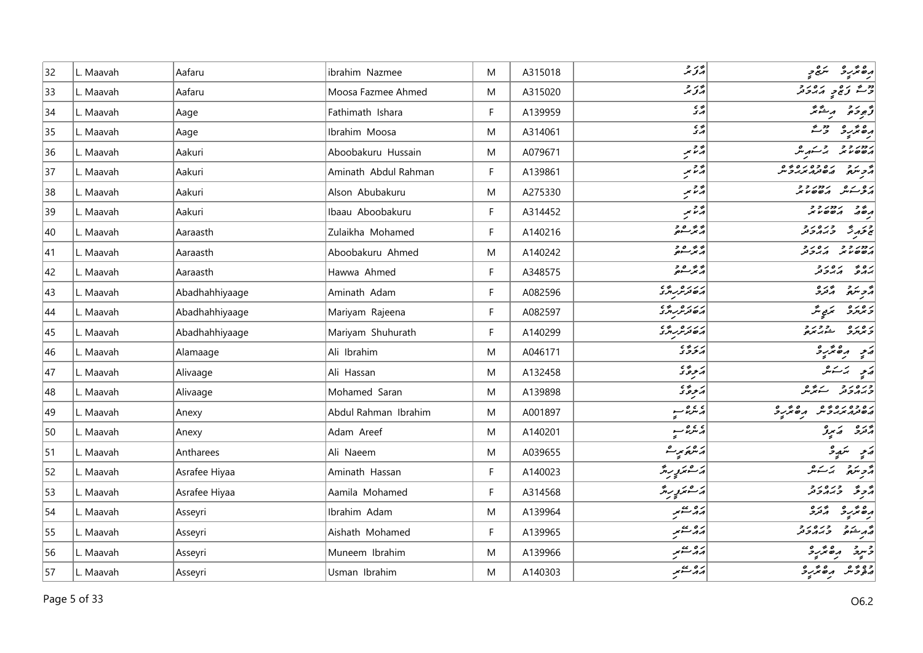| 32 | L. Maavah | Aafaru         | ibrahim Nazmee       | M         | A315018 | پر د<br>مرکز س                          | رەئزرۇ سەر                                                |
|----|-----------|----------------|----------------------|-----------|---------|-----------------------------------------|-----------------------------------------------------------|
| 33 | L. Maavah | Aafaru         | Moosa Fazmee Ahmed   | M         | A315020 | پر دی                                   | ר ג'וס ג'סיבית                                            |
| 34 | L. Maavah | Aage           | Fathimath Ishara     | F         | A139959 | پو م<br>مرم                             | قهوة ويقتر                                                |
| 35 | L. Maavah | Aage           | Ibrahim Moosa        | M         | A314061 | پري                                     | ەھترىرى دىم                                               |
| 36 | L. Maavah | Aakuri         | Aboobakuru Hussain   | M         | A079671 | وترتمير                                 | Car C C C C C C C                                         |
| 37 | L. Maavah | Aakuri         | Aminath Abdul Rahman | F         | A139861 | ومحتمس                                  | ره وه ره د ه<br>پره تربر <i>پر پ</i> ر څ<br>ر<br>د حر سره |
| 38 | L. Maavah | Aakuri         | Alson Abubakuru      | M         | A275330 | ومحتمسر                                 | גם גם גמגבב<br>גבייני גם <i>ס</i> יצ                      |
| 39 | L. Maavah | Aakuri         | Ibaau Aboobakuru     | F         | A314452 | ومنمعر                                  | 77777<br>נים.<br>גە                                       |
| 40 | L. Maavah | Aaraasth       | Zulaikha Mohamed     | F         | A140216 | ۇ ئۇر ھ ج                               | و پر و پر و<br>تر ټر ټر تر<br>تح ځرمر تر                  |
| 41 | L. Maavah | Aaraasth       | Aboobakuru Ahmed     | ${\sf M}$ | A140242 | ۇ ئۆر 2 ج                               | גדמג כ גם גב<br>גססט ג גגבת                               |
| 42 | L. Maavah | Aaraasth       | Hawwa Ahmed          | F         | A348575 | ۇ ئۇر 2 ج                               | برەپچ<br>پره پر د                                         |
| 43 | L. Maavah | Abadhahhiyaage | Aminath Adam         | F         | A082596 | پر پر ه<br>  پر که تر تر بر د           | پر ہ<br>مرکز ژ<br>أرمز                                    |
| 44 | L. Maavah | Abadhahhiyaage | Mariyam Rajeena      | F         | A082597 | پر پر دی دی.<br>  پرې فرس پر پر پ       | رەرە برىپ                                                 |
| 45 | L. Maavah | Abadhahhiyaage | Mariyam Shuhurath    | F         | A140299 | پر پر و په په<br>  پر ځه تر تر پر پر په | ر و د ر و<br>شوبر بوه<br>ر ه ر ه<br><del>د</del> بربرگ    |
| 46 | L. Maavah | Alamaage       | Ali Ibrahim          | ${\sf M}$ | A046171 | برژی                                    | أوسم وهنر و                                               |
| 47 | L. Maavah | Alivaage       | Ali Hassan           | ${\sf M}$ | A132458 | پر وي                                   | أەي ئەسەھ                                                 |
| 48 | L. Maavah | Alivaage       | Mohamed Saran        | M         | A139898 | پر پر پر                                | ورەرو ئەمچ                                                |
| 49 | L. Maavah | Anexy          | Abdul Rahman Ibrahim | M         | A001897 | لمقرمة                                  | נס כס נס כם נס בים                                        |
| 50 | L. Maavah | Anexy          | Adam Areef           | M         | A140201 | ەمەر بىر                                | أرتره أرسوه                                               |
| 51 | L. Maavah | Antharees      | Ali Naeem            | ${\sf M}$ | A039655 | ىر ھ <sub>ى</sub> جە بىر ھ              | ړې شمېره                                                  |
| 52 | L. Maavah | Asrafee Hiyaa  | Aminath Hassan       | F         | A140023 | ئەسشەنىز بەرگە                          | ړٌ پر سَر پر کر کر                                        |
| 53 | L. Maavah | Asrafee Hiyaa  | Aamila Mohamed       | F         | A314568 | ئەسشەئىز بەرگە                          | ړ څر څ<br>و رە ر د<br>تر پر تر تر                         |
| 54 | L. Maavah | Asseyri        | Ibrahim Adam         | ${\sf M}$ | A139964 | لهُ وعيمر                               | ەھ ئەرە ئەرە<br>بەھ ئەرى ئەرە                             |
| 55 | L. Maavah | Asseyri        | Aishath Mohamed      | F         | A139965 | لهزه يئوبر                              | و مر د کر د<br>مر<br>ورەر د<br><i>دى</i> رمەتر            |
| 56 | L. Maavah | Asseyri        | Muneem Ibrahim       | M         | A139966 | لره يهمر                                | ومرو مقترر                                                |
| 57 | L. Maavah | Asseyri        | Usman Ibrahim        | ${\sf M}$ | A140303 | لمرهر يھيمبر                            | وووه مقبره                                                |
|    |           |                |                      |           |         |                                         |                                                           |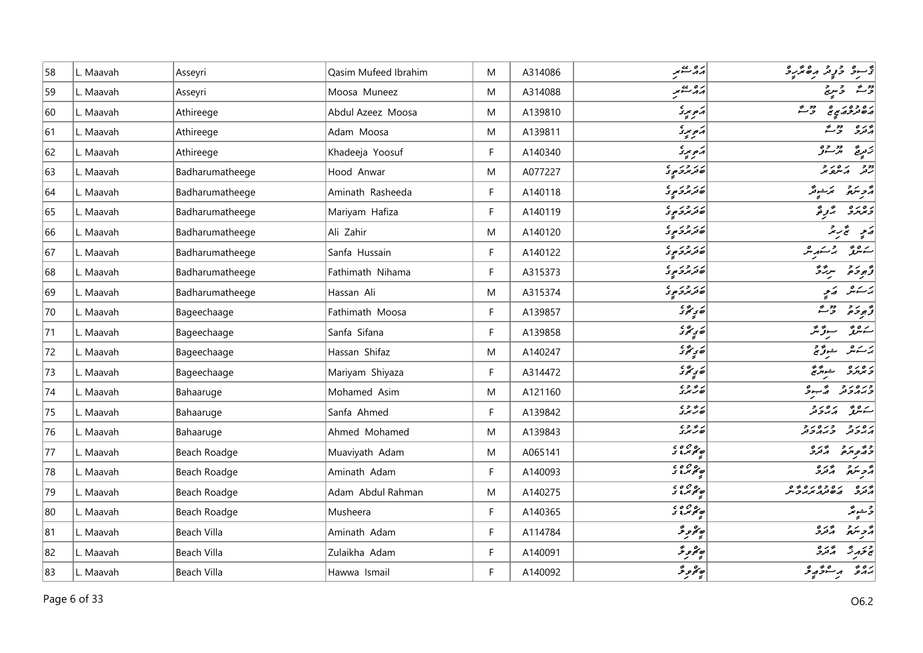| 58 | L. Maavah | Asseyri            | Qasim Mufeed Ibrahim | M  | A314086 | لئەھمىسىر                              | و دو د د موړينې                                                 |
|----|-----------|--------------------|----------------------|----|---------|----------------------------------------|-----------------------------------------------------------------|
| 59 | L. Maavah | Asseyri            | Moosa Muneez         | M  | A314088 | برە يىمر                               | وحرثه ومبرج                                                     |
| 60 | L. Maavah | Athireege          | Abdul Azeez Moosa    | M  | A139810 | ړ<br>مرموسو                            | وحر مع<br>ره وور<br>مەھىر <i>چى</i> رىم                         |
| 61 | L. Maavah | Athireege          | Adam Moosa           | M  | A139811 | ړ<br>د حومونه                          | وره دورو<br>مرکز و                                              |
| 62 | L. Maavah | Athireege          | Khadeeja Yoosuf      | F  | A140340 | <br>  مەمورى                           | دو و ه<br>در سور<br>  تر ورقعً                                  |
| 63 | L. Maavah | Badharumatheege    | Hood Anwar           | M  | A077227 | ر د در د ،<br>ماندېرد م <sub>و</sub> ر | اردو براه دارد                                                  |
| 64 | L. Maavah | Badharumatheege    | Aminath Rasheeda     | F  | A140118 | <br>  تەنگەر ئەرى                      | أأترجع أترسونكر                                                 |
| 65 | L. Maavah | Badharumatheege    | Mariyam Hafiza       | F. | A140119 | ر ر و ر د ،<br>ئەترىرى ئور             | وبردره<br>بُرُونٌ                                               |
| 66 | L. Maavah | Badharumatheege    | Ali Zahir            | M  | A140120 | پر در<br>  ت <i>ق</i> ر پر د پر        | أصميت تحميته                                                    |
| 67 | L. Maavah | Badharumatheege    | Sanfa Hussain        | F. | A140122 | پر ور پر<br>  ت <i>قریر دی</i> وی      | سەمۇرى ئەسكىرىش                                                 |
| 68 | L. Maavah | Badharumatheege    | Fathimath Nihama     | F. | A315373 | پر ور پ                                | سودي<br>ء بر د<br>ترجو حاد                                      |
| 69 | L. Maavah | Badharumatheege    | Hassan Ali           | M  | A315374 | پر ور پ                                | أيزكته أرتمي                                                    |
| 70 | L. Maavah | Bageechaage        | Fathimath Moosa      | F  | A139857 | ے پر پڑے<br> ی پر پڑی                  | وٌ پر دو در مع                                                  |
| 71 | L. Maavah | Bageechaage        | Sanfa Sifana         | F  | A139858 | ے پر پچ<br>م                           | سەھەتىر<br>سىۋىتر                                               |
| 72 | L. Maavah | Bageechaage        | Hassan Shifaz        | M  | A140247 | له د په ده<br>موسي                     | پر سندس شوقر مح                                                 |
| 73 | L. Maavah | Bageechaage        | Mariyam Shiyaza      | F. | A314472 | ے پر پڑی<br> صح پر تھی ت               | ر 20 ر 24<br><i>3 پر بر</i> و سنوا <i>ر</i> ی                   |
| 74 | L. Maavah | Bahaaruge          | Mohamed Asim         | M  | A121160 | ر پر و ،<br>ن <i>ن تر</i> بر           | رژب و<br>و ره ر د<br>تر پر ژنر                                  |
| 75 | L. Maavah | Bahaaruge          | Sanfa Ahmed          | F. | A139842 | ر پر و ،<br>ن <i>ن تر</i> د            | برورد<br>سەمىر                                                  |
| 76 | L. Maavah | Bahaaruge          | Ahmed Mohamed        | M  | A139843 | ر پر و ،<br>ن <i>ن</i> تر د            | و رە ر د<br>تر پروتر<br>بر 2 د ج<br>مربر <del>5</del> تر        |
| 77 | L. Maavah | Beach Roadge       | Muaviyath Adam       | M  | A065141 | $rac{1}{555560}$                       | وړځ دره<br>پور ہ<br>مرکز                                        |
| 78 | L. Maavah | Beach Roadge       | Aminath Adam         | F  | A140093 | $rac{1}{55550}$                        | ړ ده په پره                                                     |
| 79 | L. Maavah | Beach Roadge       | Adam Abdul Rahman    | M  | A140275 | 52129                                  | ر ه د ه ر ه د ه<br>پره تربر <i>تر</i> بر تر س<br>یز رہ<br>درگرو |
| 80 | L. Maavah | Beach Roadge       | Musheera             | F  | A140365 | 52560                                  | ۇھەمگە<br>ئ                                                     |
| 81 | L. Maavah | Beach Villa        | Aminath Adam         | F  | A114784 | ھەمچەمەتىر<br>ئىسىمىسىر                | أروسكو<br>پور ہ<br>پر تر تر                                     |
| 82 | L. Maavah | <b>Beach Villa</b> | Zulaikha Adam        | F. | A140091 | ە ئۇرۇ                                 | ح ځه پر جح<br>پور ہ<br>پرترو                                    |
| 83 | L. Maavah | <b>Beach Villa</b> | Hawwa Ismail         | F  | A140092 | ھەمجە <i>مەڭ</i>                       | $\frac{1}{2}$                                                   |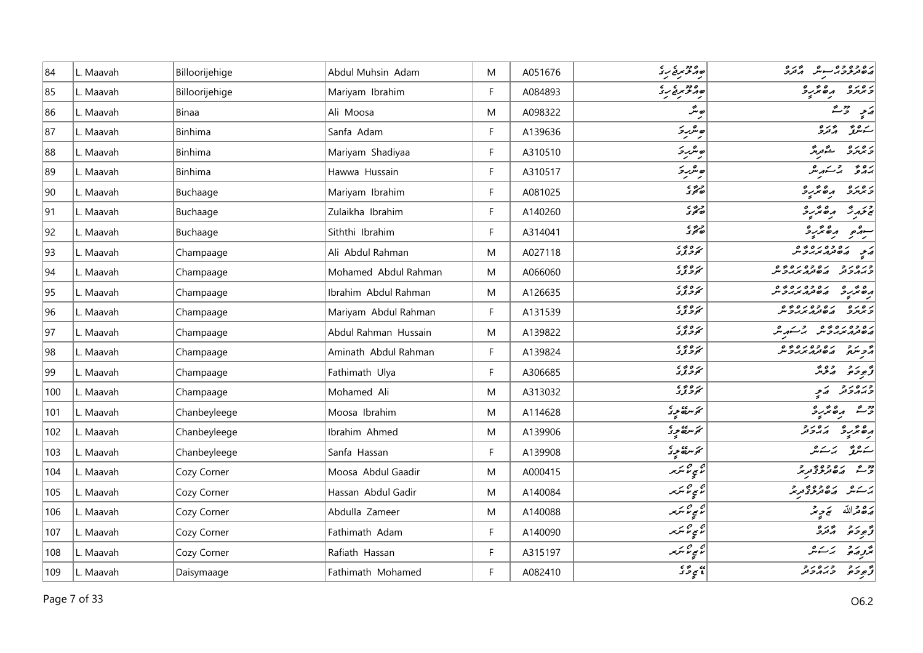| 84  | L. Maavah  | Billoorijehige | Abdul Muhsin Adam    | M  | A051676 | ه دو د پر پر<br>حوړ څرينې بر پر          | ره وه وه مسور محمده.<br>اصطلاح در محمد                                   |
|-----|------------|----------------|----------------------|----|---------|------------------------------------------|--------------------------------------------------------------------------|
| 85  | L. Maavah  | Billoorijehige | Mariyam Ibrahim      | F. | A084893 | ە دومبر ئەرى<br>مەمگە ئىرى               | ويحترو<br>ە ھەترىر ۋ                                                     |
| 86  | L. Maavah  | <b>Binaa</b>   | Ali Moosa            | M  | A098322 | ھ سگر                                    | أريمو المحيث                                                             |
| 87  | L. Maavah  | Binhima        | Sanfa Adam           | F  | A139636 | حومترىر                                  | سەھەيۋ<br>پەر ە<br>مەنور                                                 |
| 88  | L. Maavah  | <b>Binhima</b> | Mariyam Shadiyaa     | F  | A310510 | ەمەرىز                                   | ر ه ر ه<br><del>ر</del> بربر د<br>ستگ <sup>و</sup> تر پُر                |
| 89  | L. Maavah  | Binhima        | Hawwa Hussain        | F  | A310517 | حوشرىخه                                  | رە پە<br>پروگ<br>بر ئەمەر بى <sub>ك</sub> ر                              |
| 90  | L. Maavah  | Buchaage       | Mariyam Ibrahim      | F  | A081025 | چ تو ي<br>ن <i>ه</i> تو ي                | ەھ ئەرى<br>ر ه ر ه<br><del>د</del> بربرگ                                 |
| 91  | L. Maavah  | Buchaage       | Zulaikha Ibrahim     | F  | A140260 | وړي<br>هڅو                               | ەھ ئۆر ۋ<br>تح ځرمر تخه                                                  |
| 92  | L. Maavah  | Buchaage       | Siththi Ibrahim      | F. | A314041 | وړي<br>هڅو                               | سوژھو<br>ە ھەترىرى<br>بەھەترىرى                                          |
| 93  | L. Maavah  | Champaage      | Ali Abdul Rahman     | M  | A027118 | ر ه و د ،<br>کارگری                      | د ده ده ده ده م                                                          |
| 94  | L. Maavah  | Champaage      | Mohamed Abdul Rahman | M  | A066060 | ر ه و ء<br>کارگری                        | כנסני נסיפונים<br>כגוניכת וגישינוגיגיבית                                 |
| 95  | L. Maavah  | Champaage      | Ibrahim Abdul Rahman | M  | A126635 | ىر ە بە ،<br>كۆترگەن                     | ره وه ره د ه<br>پره تربر تر تر تر<br>ەرھەترىر <sup>ە</sup>               |
| 96  | L. Maavah  | Champaage      | Mariyam Abdul Rahman | F  | A131539 | ر ه و و<br>کارگری                        | ره وه ره ده.<br>مەھىرمە <i>بر</i> ىرىس<br>ر ه بر ه<br><del>د</del> بربرگ |
| 97  | L. Maavah  | Champaage      | Abdul Rahman Hussain | M  | A139822 | ر ه و د<br>کارگری                        | גם כם גם כם הכנה הם.<br>השינה גיגיפיית הליינה יית                        |
| 98  | L. Maavah  | Champaage      | Aminath Abdul Rahman | F  | A139824 | ر ه و د<br>کارگری                        | ر ٥ <i>٥ ٥ ٥ ٥ ٥</i><br>۵ <i>۵ تر ٨ بر بر</i> ۶ س<br>ړ ځې سرچ            |
| 99  | L. Maavah  | Champaage      | Fathimath Ulya       | F. | A306685 | ر ه و د<br>کارگری                        | ەرەپە<br>ۇ بوز ئ                                                         |
| 100 | L. Maavah  | Champaage      | Mohamed Ali          | M  | A313032 | ر ه و ،<br>کارگری                        | ورەرو كەي                                                                |
| 101 | L. Maavah  | Chanbeyleege   | Moosa Ibrahim        | M  | A114628 | كوستقوي                                  | در مصر ده و                                                              |
| 102 | L. Maavah  | Chanbeyleege   | Ibrahim Ahmed        | M  | A139906 | كأسكامي                                  | ە ھەترىر <sup>ە</sup><br>ەر ئەر تە                                       |
| 103 | L. Maavah  | Chanbeyleege   | Sanfa Hassan         | F  | A139908 | ى<br>كۆس <sub>تە</sub> ئو ئ              | سەھۇر بەسەھ                                                              |
| 104 | L. Maavah  | Cozy Corner    | Moosa Abdul Gaadir   | M  | A000415 | نئىم ئەتىرىدە<br>                        | دو مع ده وه پور د<br>درگذشت مان معامل موتوس                              |
| 105 | L. Maavah  | Cozy Corner    | Hassan Abdul Gadir   | M  | A140084 | لأمجٍ مْتَعَدّ                           | بر بره بره وه بر د<br>بر کشش به ه تری تو تریم                            |
| 106 | LL. Maavah | Cozy Corner    | Abdulla Zameer       | M  | A140088 | ە يې ئەتىر<br>ئاس <sub>تۇ</sub> ئەتىر    | وحدالله<br>ىج جە تىر                                                     |
| 107 | L. Maavah  | Cozy Corner    | Fathimath Adam       | F  | A140090 | مې تور تنگیلې په ته تنگیلې لري.<br>موسيق | و مر د<br>اقرامو خاص<br>پھر ہ<br>مرکز                                    |
| 108 | L. Maavah  | Cozy Corner    | Rafiath Hassan       | F. | A315197 | لتمويتكنه                                | تروره<br>برسەيىتىر                                                       |
| 109 | L. Maavah  | Daisymaage     | Fathimath Mohamed    | F  | A082410 | پر سپر می<br>  پاسم سپر سپر              | و ده وره ده                                                              |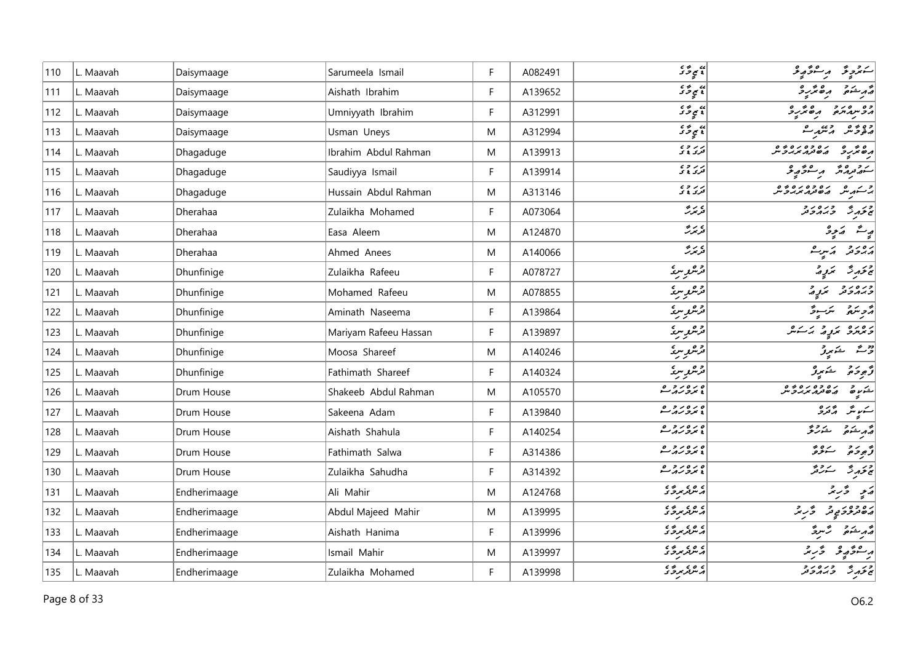| 110 | L. Maavah | Daisymaage   | Sarumeela Ismail      | F  | A082491 | اءِ سرچ تا<br>  ۽ سمج تاريخ                | ەرسىۋەپىۋ                                                        |
|-----|-----------|--------------|-----------------------|----|---------|--------------------------------------------|------------------------------------------------------------------|
| 111 | L. Maavah | Daisymaage   | Aishath Ibrahim       | F. | A139652 | پی پیچ تر <sub>ک</sub>                     | ر<br>دگرار شومی<br>ەھ تررۈ                                       |
| 112 | L. Maavah | Daisymaage   | Umniyyath Ibrahim     | F. | A312991 | اءِ سرچ تا<br>  ۽ سمج تاريخ                | כם הם גב<br>נגב ייטג'ו <i>נ</i> ים<br>مەھترىرى                   |
| 113 | L. Maavah | Daisymaage   | Usman Uneys           | M  | A312994 | پر سپر می<br>  پاسم سپر سپر                | و و و و.<br>مرفو <del>د</del> س<br>ەتئەرم                        |
| 114 | L. Maavah | Dhagaduge    | Ibrahim Abdul Rahman  | M  | A139913 | ر ر و ء<br>تعری ی ی                        | ره وه ره د ه<br>پره تربر تر تر تر<br>$rac{1}{2}$                 |
| 115 | L. Maavah | Dhagaduge    | Saudiyya Ismail       | F  | A139914 | ر ر و ء<br>تو کا ی                         | سكرد وره به مستركور                                              |
| 116 | L. Maavah | Dhagaduge    | Hussain Abdul Rahman  | M  | A313146 | ر ر و ،<br>تو کا ی                         | و بر ماره ده ده ده و ماره بوده<br>پرستهریش ایرها در مربر تر س    |
| 117 | L. Maavah | Dherahaa     | Zulaikha Mohamed      | F  | A073064 | ى رى<br>تىرىرگ                             | ح ئۇ م <sup>ىر</sup> گە<br>سىسار<br>و ره ر و<br><i>د ب</i> رگرفر |
| 118 | L. Maavah | Dherahaa     | Easa Aleem            | M  | A124870 | ے رے<br>توبور                              | ړ شو شوه<br>په منځو                                              |
| 119 | L. Maavah | Dherahaa     | Ahmed Anees           | M  | A140066 | ى رىپىر<br>تىرىترىر                        | رەرد رسرے                                                        |
| 120 | L. Maavah | Dhunfinige   | Zulaikha Rafeeu       | F. | A078727 | قرشرو سرءكه                                | چ ئۇ م <sup>ەش</sup><br>ىخرى پر                                  |
| 121 | L. Maavah | Dhunfinige   | Mohamed Rafeeu        | M  | A078855 |                                            | و ر ه ر و<br>تر پر ژ تر<br>بخرور                                 |
| 122 | L. Maavah | Dhunfinige   | Aminath Naseema       | F  | A139864 | قرىنگرىزىگى                                | ثروبتم تترب                                                      |
| 123 | L. Maavah | Dhunfinige   | Mariyam Rafeeu Hassan | F  | A139897 | قرشوبيرنج                                  | כמתכ תן ג' ה' איל                                                |
| 124 | L. Maavah | Dhunfinige   | Moosa Shareef         | M  | A140246 | قرش <sub>ر پوس</sub> ه<br>مس <u>سر ب</u> ر | ژ ئەستىمى ئى                                                     |
| 125 | L. Maavah | Dhunfinige   | Fathimath Shareef     | F. | A140324 | قرىثرىرىكى                                 | ۇپ <sub>و</sub> دۇ شېرۇ                                          |
| 126 | L. Maavah | Drum House   | Shakeeb Abdul Rahman  | M  | A105570 | ه ره ر د ه<br>٤ برد بر ر                   | ر ه د ه ر ه د ه<br>پره تربر تر تر تر<br>شەرە                     |
| 127 | L. Maavah | Drum House   | Sakeena Adam          | F. | A139840 | ه ره ر د ه<br>٤ برد بر ر                   | پور ہ<br>مرکز ژ<br>سەر بىگە                                      |
| 128 | L. Maavah | Drum House   | Aishath Shahula       | F  | A140254 | ه ره ر د ه<br>٤ برد بر ر                   | ۇ مەشقۇم<br>مەم<br>ے ترتر                                        |
| 129 | L. Maavah | Drum House   | Fathimath Salwa       | F  | A314386 | ه ره ر د ه<br>٤ برد بر ر                   | سترقو<br>ۇ بوز <sub>ە</sub>                                      |
| 130 | L. Maavah | Drum House   | Zulaikha Sahudha      | F  | A314392 | ه ره ر د ه<br>د برد بر ر                   | چ ځه پر پ <sup>چ</sup><br>سەرقە                                  |
| 131 | L. Maavah | Endherimaage | Ali Mahir             | M  | A124768 | ، مەئىرىرى <i>چ</i>                        | أەيج - دُرېمە                                                    |
| 132 | L. Maavah | Endherimaage | Abdul Majeed Mahir    | M  | A139995 | پر پر پر پر پر پر<br> <br>مرکز کر          | גם כפל פל ביב                                                    |
| 133 | L. Maavah | Endherimaage | Aishath Hanima        | F  | A139996 | ې ه د پر په په<br>مرمر پر پر په            | وكرمشكم المتحسرة                                                 |
| 134 | L. Maavah | Endherimaage | Ismail Mahir          | M  | A139997 | پر عربر پر پر پر                           | وحقوقه<br>ۇرىر                                                   |
| 135 | L. Maavah | Endherimaage | Zulaikha Mohamed      | F  | A139998 | ى ھەترىر <i>ۋى</i>                         | ور وره دره                                                       |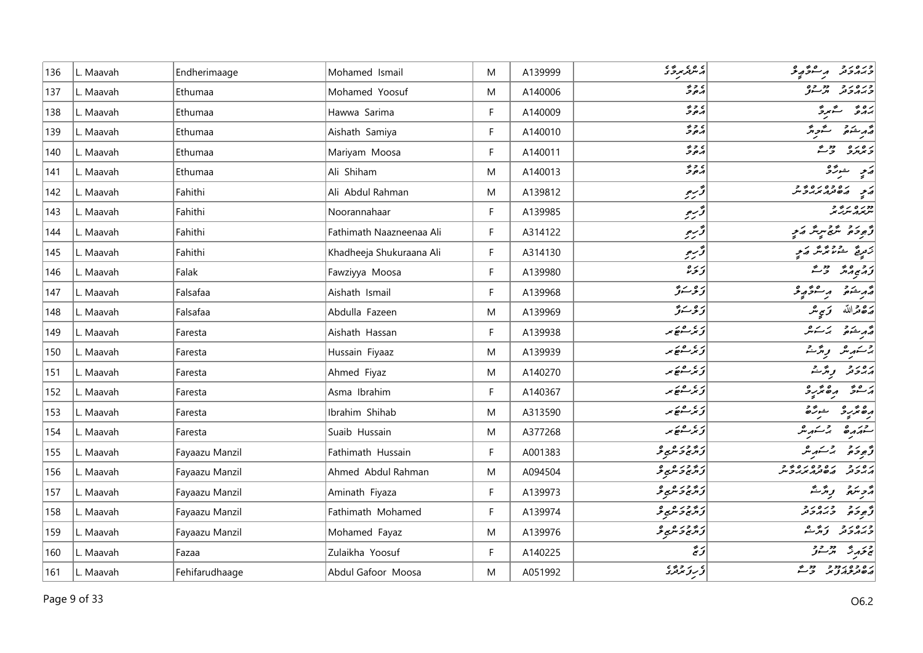| 136 | L. Maavah  | Endherimaage   | Mohamed Ismail           | M  | A139999 | پر هر پر دی                              | ورەرو رەۋرو                                                           |
|-----|------------|----------------|--------------------------|----|---------|------------------------------------------|-----------------------------------------------------------------------|
| 137 | L. Maavah  | Ethumaa        | Mohamed Yoosuf           | M  | A140006 | ړ و د<br>پره د                           | دد د ه<br>و ر ه ر و<br><i>و پر</i> پر تر                              |
| 138 | L. Maavah  | Ethumaa        | Hawwa Sarima             | F. | A140009 | ړ د د<br>پره د                           | برەپچ                                                                 |
| 139 | L. Maavah  | Ethumaa        | Aishath Samiya           | F  | A140010 | ړ د د<br>پره د                           | سەّمەدىر<br>د مر در در<br>مر                                          |
| 140 | L. Maavah  | Ethumaa        | Mariyam Moosa            | F  | A140011 | ړ و د<br>پره د                           | وو ع<br>ر ه ر ه<br><del>ر</del> بر بر                                 |
| 141 | L. Maavah  | Ethumaa        | Ali Shiham               | M  | A140013 | ړ و د<br>پره د                           | أركمني المستركر                                                       |
| 142 | L. Maavah  | Fahithi        | Ali Abdul Rahman         | M  | A139812 | و سرحو<br>مرکز                           |                                                                       |
| 143 | LL. Maavah | Fahithi        | Noorannahaar             | F  | A139985 | قرىرجو                                   | دد ر ه ر د و<br>سربو پر سربر بو                                       |
| 144 | L. Maavah  | Fahithi        | Fathimath Naazneenaa Ali | F  | A314122 | وگرم <u>و</u><br>رکر                     | و محمد ملتج مر مثر مدمر                                               |
| 145 | L. Maavah  | Fahithi        | Khadheeja Shukuraana Ali | F  | A314130 | وگرم <u>و</u><br>رکر                     | كتريح خور بر بر كرم                                                   |
| 146 | L. Maavah  | Falak          | Fawziyya Moosa           | F  | A139980 | وَىَوْما                                 | נג <sub>ו</sub> פי פי                                                 |
| 147 | L. Maavah  | Falsafaa       | Aishath Ismail           | F  | A139968 | زوىز                                     | برىشۇپەيۋ<br>و مر د شو ه<br>مر                                        |
| 148 | L. Maavah  | Falsafaa       | Abdulla Fazeen           | M  | A139969 | ئەبۇرىيەتر                               | أرجع فترالله ترسي مثر                                                 |
| 149 | L. Maavah  | Faresta        | Aishath Hassan           | F  | A139938 | ىر ئەر شەھ بىر                           | مەر شىم ئىر ئىكىش                                                     |
| 150 | L. Maavah  | Faresta        | Hussain Fiyaaz           | M  | A139939 | ر ۽ هءِ سر                               | يزستهرش ويزينة                                                        |
| 151 | L. Maavah  | Faresta        | Ahmed Fiyaz              | M  | A140270 | ئە ئىركە ئىچ ئىر                         | أرورو وترت                                                            |
| 152 | L. Maavah  | Faresta        | Asma Ibrahim             | F  | A140367 | ۇ ئەرمىقچ ئىر                            | دەندېرد<br>ىرمەتىر                                                    |
| 153 | L. Maavah  | Faresta        | Ibrahim Shihab           | M  | A313590 | ىر ئەر شەھ بىر                           | ە ھەترىرى<br>رەھىرىرى<br>شورمج فح                                     |
| 154 | L. Maavah  | Faresta        | Suaib Hussain            | M  | A377268 | ىر ئەرمىقچ ئىر                           | شققه والمستور                                                         |
| 155 | L. Maavah  | Fayaazu Manzil | Fathimath Hussain        | F  | A001383 | زېږ ته شرې څر                            | توجوحه برخوره                                                         |
| 156 | L. Maavah  | Fayaazu Manzil | Ahmed Abdul Rahman       | M  | A094504 | ئەھمىي ئەھمىي ئى                         | ر ه وه ر ه د و<br>پره تربر تر س<br>ر ە ر د<br>م.ئر <del>ى</del> ر تىر |
| 157 | LL. Maavah | Fayaazu Manzil | Aminath Fiyaza           | F  | A139973 | ىر ئەج ئەنگىي بى                         | ومحرسكم وومث                                                          |
| 158 | L. Maavah  | Fayaazu Manzil | Fathimath Mohamed        | F  | A139974 | ىر ئەج ئەنگە بىر بىر<br>ئ                | و ده دره دره                                                          |
| 159 | L. Maavah  | Fayaazu Manzil | Mohamed Fayaz            | M  | A139976 | ر پر بر بر بر بر بر<br>تر تر بر بر بر بر | ورەرو رېژے                                                            |
| 160 | L. Maavah  | Fazaa          | Zulaikha Yoosuf          | F  | A140225 | ترنج                                     | ىم خرمەڭ بىر قرقر                                                     |
| 161 | L. Maavah  | Fehifarudhaage | Abdul Gafoor Moosa       | M  | A051992 | ۇ <i>رۇ تر</i> ۇرى                       | ره ده د دد و در و.<br>مان در در بر                                    |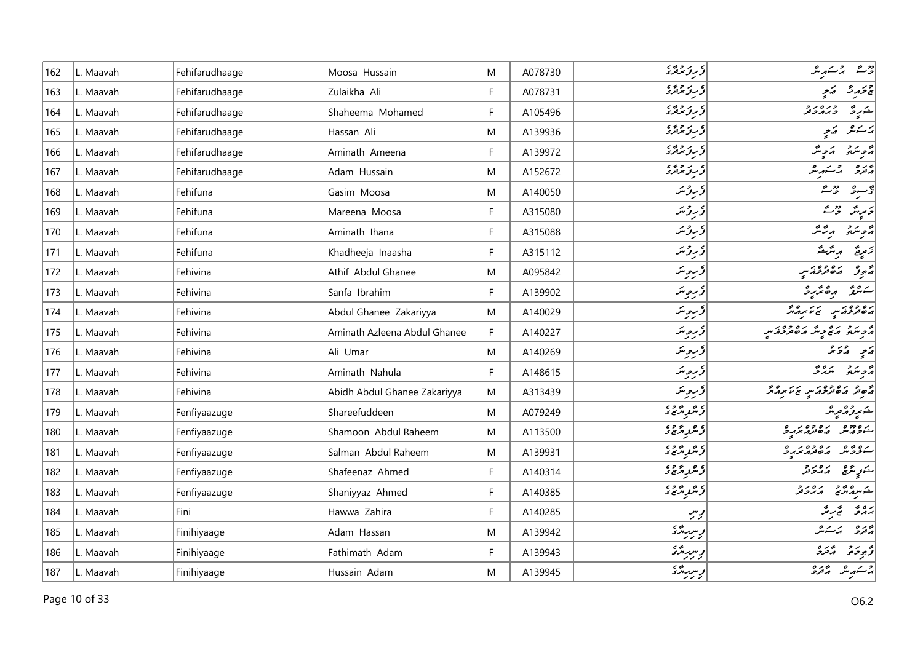| 162 | L. Maavah | Fehifarudhaage | Moosa Hussain                | M           | A078730 | ۇرۇپرىدى                                           | در میں مقابل میں میں میں میں میں ایک ایک ایک ایک کا تعلیم کے مقدام کے مقدام کے مقدام کے مقدام کے مقدام کے مقدا |
|-----|-----------|----------------|------------------------------|-------------|---------|----------------------------------------------------|----------------------------------------------------------------------------------------------------------------|
| 163 | L. Maavah | Fehifarudhaage | Zulaikha Ali                 | F           | A078731 | ې په د وي.<br>نوب ترترک                            | لتحرير                                                                                                         |
| 164 | L. Maavah | Fehifarudhaage | Shaheema Mohamed             | $\mathsf F$ | A105496 | ۇرۇپرىدى                                           | و ره ر و<br>تر پر تر تر<br>ے کیے تھے<br>ت                                                                      |
| 165 | L. Maavah | Fehifarudhaage | Hassan Ali                   | M           | A139936 | ا د سر د بر د د ،<br>اگر سر د بردگرد               | پرستمبر کامی                                                                                                   |
| 166 | L. Maavah | Fehifarudhaage | Aminath Ameena               | F           | A139972 | ا د سر د بر د د بر د کال کردند د ا                 | أرمر برد<br>ړ د پر                                                                                             |
| 167 | L. Maavah | Fehifarudhaage | Adam Hussain                 | M           | A152672 | اء رئ <del>ے چھے ہ</del>                           | په ره<br>د ترو<br>بر ئەمەر بىر                                                                                 |
| 168 | L. Maavah | Fehifuna       | Gasim Moosa                  | M           | A140050 | ۇرۇپر<br>ب                                         | ديو مشر<br>وسيور<br>مر                                                                                         |
| 169 | L. Maavah | Fehifuna       | Mareena Moosa                | F           | A315080 | ۇرۇپر                                              | ىز بېرىتىر<br>ئ<br>درمیه                                                                                       |
| 170 | L. Maavah | Fehifuna       | Aminath Ihana                | F           | A315088 | ۇ بەر تىكە                                         | پ <sup>و</sup> پر سرچ<br>م<br>برجمتر                                                                           |
| 171 | L. Maavah | Fehifuna       | Khadheeja Inaasha            | F.          | A315112 | ۇرۇپر                                              | ر<br>ترمړنځ پرسر <sub>م</sub> ش                                                                                |
| 172 | L. Maavah | Fehivina       | Athif Abdul Ghanee           | M           | A095842 | ء<br>فرسر میک                                      | پ <sub>ھ جو</sub> و<br>ړه وه پر                                                                                |
| 173 | L. Maavah | Fehivina       | Sanfa Ibrahim                | F           | A139902 | ۇروپر                                              | سەمىر<br>ەرھەترىر <sup>ى</sup>                                                                                 |
| 174 | L. Maavah | Fehivina       | Abdul Ghanee Zakariyya       | M           | A140029 | اؤرہ بئر<br><u>——</u>                              | גם בכתיב היותרי                                                                                                |
| 175 | L. Maavah | Fehivina       | Aminath Azleena Abdul Ghanee | F.          | A140227 | ۇ رەبىر<br>مەم                                     | הכיתם הזיכית הסתיכהית                                                                                          |
| 176 | L. Maavah | Fehivina       | Ali Umar                     | M           | A140269 | ۇروپر<br>مەم                                       |                                                                                                                |
| 177 | L. Maavah | Fehivina       | Aminath Nahula               | F           | A148615 | ۇ <sub>مرحو</sub> يىتر<br>م                        | ۇ ئەرە ئەرە                                                                                                    |
| 178 | L. Maavah | Fehivina       | Abidh Abdul Ghanee Zakariyya | M           | A313439 | ء<br>قرىر مىگە                                     | הסת הסתיבה ת היו החי                                                                                           |
| 179 | L. Maavah | Fenfiyaazuge   | Shareefuddeen                | M           | A079249 | ې هرو ژوي<br>نومبر د ژوين                          | ے پر <i>و</i> گرمر شر                                                                                          |
| 180 | L. Maavah | Fenfiyaazuge   | Shamoon Abdul Raheem         | M           | A113500 | ې هروگړي<br>و شر <sub>و</sub> گړي                  | ره وه در ه<br>پره تربر تربر د<br>يره دو ه<br>شو <i>و</i> ړ س                                                   |
| 181 | L. Maavah | Fenfiyaazuge   | Salman Abdul Raheem          | M           | A139931 | ې ه <sub>رو</sub> پر دې<br>د شر <sub>و</sub> پر پر | رەپ رەپرەرە                                                                                                    |
| 182 | L. Maavah | Fenfiyaazuge   | Shafeenaz Ahmed              | $\mathsf F$ | A140314 | ې هروگړي<br>و شر <sub>و</sub> گړي                  | شَوَرٍ شَرَجَ - مَا يَرْوَ مَرْ                                                                                |
| 183 | L. Maavah | Fenfiyaazuge   | Shaniyyaz Ahmed              | F           | A140385 | ې هرو پر دې<br>ز سرو پر پر <sub>ک</sub>            | شەسەدىنى<br>ەر جەر ج                                                                                           |
| 184 | L. Maavah | Fini           | Hawwa Zahira                 | F           | A140285 | وسر                                                | بروقة المجريمة                                                                                                 |
| 185 | L. Maavah | Finihiyaage    | Adam Hassan                  | M           | A139942 | او مدر پروژه<br><u>گرم</u> ر                       | په ره<br>د تعرو<br>برسەمىر                                                                                     |
| 186 | L. Maavah | Finihiyaage    | Fathimath Adam               | $\mathsf F$ | A139943 | و سربر پر <sup>ی</sup><br>بر بر بر                 | پھوڑ<br>مرکزو<br>وحجمج حرحر                                                                                    |
| 187 | L. Maavah | Finihiyaage    | Hussain Adam                 | M           | A139945 | او سربر پوځ<br><u>سربر پوځ</u>                     | جر شهر شهره بر                                                                                                 |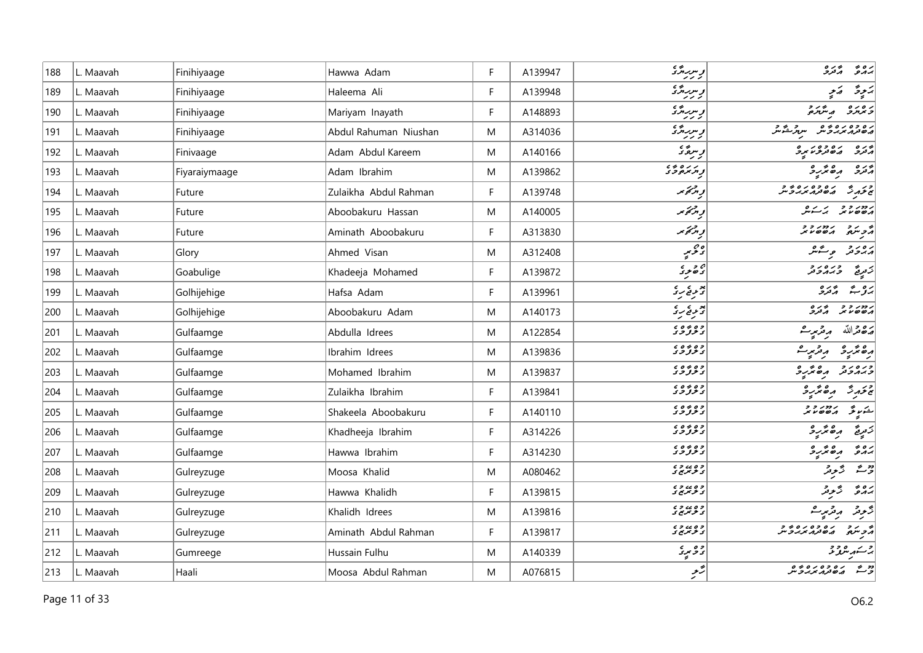| 188 | L. Maavah | Finihiyaage   | Hawwa Adam            | F           | A139947 | و سربر پر می<br>بر سربر                          | پە رە<br>مەنىرى<br>ر ه و<br>برد و                            |
|-----|-----------|---------------|-----------------------|-------------|---------|--------------------------------------------------|--------------------------------------------------------------|
| 189 | L. Maavah | Finihiyaage   | Haleema Ali           | $\mathsf F$ | A139948 | او سربر پر ج<br>اسمبر پر پر چ                    | پروگر<br>ەتىر                                                |
| 190 | L. Maavah | Finihiyaage   | Mariyam Inayath       | F           | A148893 | و سربر پر د<br>تر سربر پر                        | ر ه ر ه<br><del>و</del> بربرو<br>ە ئىگرو                     |
| 191 | L. Maavah | Finihiyaage   | Abdul Rahuman Niushan | M           | A314036 | او سربر پر ج<br>او سربر پر چ                     | ر ه و ه ر ه ر و .<br>پر <i>ه تر بر بر</i> تر سر<br>سرېزىشەتر |
| 192 | L. Maavah | Finivaage     | Adam Abdul Kareem     | M           | A140166 | وسرچء                                            | ر ٥ ۶ ٥ ٥ ر ٥<br>پرې تر تر <i>بر</i> تر<br>ر ر ه<br>د ترو    |
| 193 | L. Maavah | Fiyaraiymaage | Adam Ibrahim          | M           | A139862 | נ ג'נים בי ג'<br>נה המפכצ                        | یور ہ<br>پر تعری<br>ە ھەترىر ۋ                               |
| 194 | L. Maavah | Future        | Zulaikha Abdul Rahman | F           | A139748 | و دحرکم مر                                       | ر ٥ ۶ ٥ ٥ ٥ ٥ ٠<br>۵ ت <i>وه بوبر څ</i> س<br>ە<br>ئاخرىر ش   |
| 195 | L. Maavah | Future        | Aboobakuru Hassan     | M           | A140005 | او دحر کار                                       | נ דב ני כ<br>1נים סיט מנ<br>برسەمىر                          |
| 196 | L. Maavah | Future        | Aminath Aboobakuru    | F           | A313830 | و دحرکم مر                                       | נחינים<br>גם סיטיב<br>أرمر وسنره                             |
| 197 | L. Maavah | Glory         | Ahmed Visan           | M           | A312408 | ەم پە                                            | رەر دېگىر                                                    |
| 198 | L. Maavah | Goabulige     | Khadeeja Mohamed      | F           | A139872 | ہ و ۽<br>دھور                                    | و ر ه ر و<br><i>و پر</i> و تر<br>نزمرچَّ                     |
| 199 | L. Maavah | Golhijehige   | Hafsa Adam            | F           | A139961 | پو د ع ر ء<br>تو د قع ر د                        | برويجه<br>پور ہ<br>مرکز ژ                                    |
| 200 | L. Maavah | Golhijehige   | Aboobakuru Adam       | M           | A140173 | پو د ع<br>می عواقع مرد ک                         | נחינים<br>גם סיטיב<br>پور ہ<br>پر تعری                       |
| 201 | L. Maavah | Gulfaamge     | Abdulla Idrees        | M           | A122854 | و ه و ه ه ،<br>د نروگر د                         | بر25 الله<br>ەر قرىر مە                                      |
| 202 | L. Maavah | Gulfaamge     | Ibrahim Idrees        | M           | A139836 | د ه و ه ه ،<br>د <del>و</del> تو و د             | ە ھەترىر <sup>ە</sup><br>ېږ تئر <i>پر ت</i>                  |
| 203 | L. Maavah | Gulfaamge     | Mohamed Ibrahim       | M           | A139837 | و ه و ه ه ،<br>د <del>و</del> تو و د             | ەھ ئرىرى<br>و ر ه ر و<br>د بر ډ تر                           |
| 204 | L. Maavah | Gulfaamge     | Zulaikha Ibrahim      | F           | A139841 | د ه و ه ه ،<br>د نروگر د                         | ە ھەتئەر 2<br>برھەتئەر 2<br>چ ئۇ <sub>م</sub> رتَّ           |
| 205 | L. Maavah | Gulfaamge     | Shakeela Aboobakuru   | F           | A140110 | و ه و ه ه ،<br>د <del>و</del> تو و د             | ىشەر ئۇ<br>ئ<br>77777                                        |
| 206 | L. Maavah | Gulfaamge     | Khadheeja Ibrahim     | F           | A314226 | وه پره پر<br><b>بر تر</b> تر بر                  | ئر تورچَّ<br>پ<br>ەھ تررۇ                                    |
| 207 | L. Maavah | Gulfaamge     | Hawwa Ibrahim         | F           | A314230 | وه پره د<br>د ترتر تر د                          | برەپچ<br>ە ھەترىر ۋ                                          |
| 208 | L. Maavah | Gulreyzuge    | Moosa Khalid          | M           | A080462 | و ه در و د<br>د <del>ن</del> ر بر بر د           | رسمية<br>رگونر                                               |
| 209 | L. Maavah | Gulreyzuge    | Hawwa Khalidh         | F           | A139815 | و ه در و د<br>د <del>ن</del> ومربح د             | رە پە<br>رٌ وتر                                              |
| 210 | L. Maavah | Gulreyzuge    | Khalidh Idrees        | M           | A139816 | و ه در و د<br>د <del>ن</del> ومربع د             | رٌ وِتْر<br>ىر قرىر شە                                       |
| 211 | L. Maavah | Gulreyzuge    | Aminath Abdul Rahman  | $\mathsf F$ | A139817 | و ه در و د<br>د <del>ن</del> ر بر <del>ی</del> د | ره وه ره د و<br>پره تربر تر تر تر<br>پر پر د<br>مرگ سرچ      |
| 212 | L. Maavah | Gumreege      | Hussain Fulhu         | M           | A140339 | و ه<br>د څرينو                                   | چە سەھەر بىرى<br>بەسەھەر سىرىيە ش                            |
| 213 | L. Maavah | Haali         | Moosa Abdul Rahman    | M           | A076815 | رًمزِ                                            | رە دە رە بەر<br>مەھەر <i>برن</i> ەۋ س<br>دد ع                |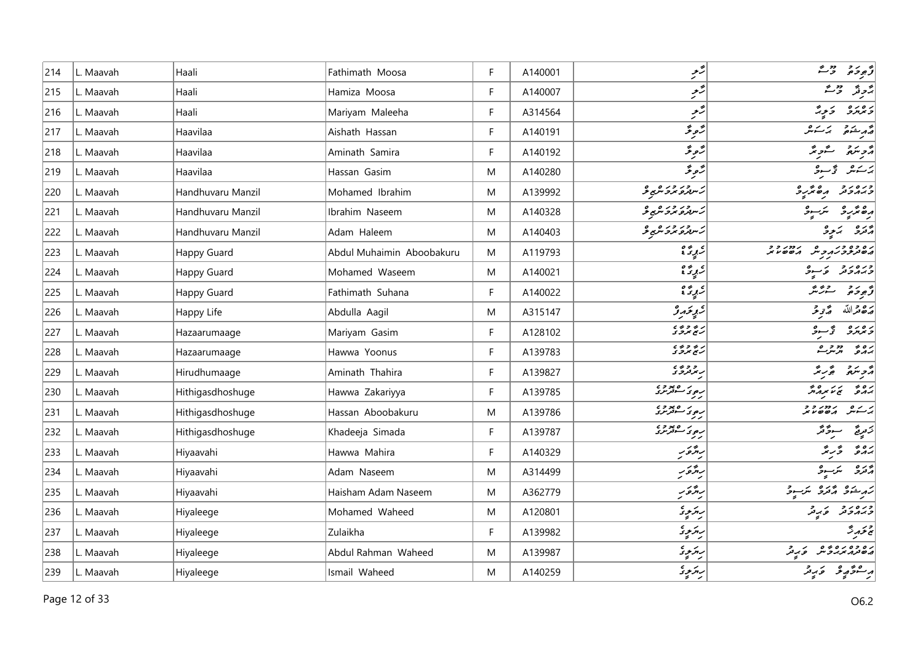| 214 | L. Maavah | Haali             | Fathimath Moosa           | F. | A140001 | رٌمزِ                               | وحرثة<br>و مرد<br>المراجع<br>المراجع                                                                                                                                                                                            |
|-----|-----------|-------------------|---------------------------|----|---------|-------------------------------------|---------------------------------------------------------------------------------------------------------------------------------------------------------------------------------------------------------------------------------|
| 215 | L. Maavah | Haali             | Hamiza Moosa              | F  | A140007 | رٌمزِ                               | بجحرقر<br>دومع                                                                                                                                                                                                                  |
| 216 | L. Maavah | Haali             | Mariyam Maleeha           | F. | A314564 | المجمع المجمع المجموعية.<br>المجموع | وبروره<br>ى ئەرەپ                                                                                                                                                                                                               |
| 217 | L. Maavah | Haavilaa          | Aishath Hassan            | F. | A140191 | ر<br>روپو                           | پ <sup>و</sup> پر شوې<br>برسەمىر                                                                                                                                                                                                |
| 218 | L. Maavah | Haavilaa          | Aminath Samira            | F. | A140192 | ر<br>رم<br>م                        | أرمر برد<br>ستە دىتر                                                                                                                                                                                                            |
| 219 | L. Maavah | Haavilaa          | Hassan Gasim              | M  | A140280 | رٌوِ وٌَ                            | برَسَمَسٌ تَوَّسَوَّ                                                                                                                                                                                                            |
| 220 | L. Maavah | Handhuvaru Manzil | Mohamed Ibrahim           | M  | A139992 | ئەس <i>بۇر قەرەپنى</i> تى           | כמחכת תפתיכ                                                                                                                                                                                                                     |
| 221 | L. Maavah | Handhuvaru Manzil | Ibrahim Naseem            | M  | A140328 | ئەسترە ئەرەكىرى ئ                   | رەپرىر سەر                                                                                                                                                                                                                      |
| 222 | L. Maavah | Handhuvaru Manzil | Adam Haleem               | M  | A140403 | ر سرچر در مر <sub>ح</sub> مد ع      | وره ټوو                                                                                                                                                                                                                         |
| 223 | L. Maavah | Happy Guard       | Abdul Muhaimin Aboobakuru | M  | A119793 | ې په ده ه<br>سرچينې                 | גם כם כגב המידי המידי ברי המידי המידי המידי המידי המידי המידי המידי המידי המידי המידי המידי המידי המידי המידי<br>המידי המידי המידי המידי המידי המידי המידי המידי המידי המידי המידי המידי המידי המידי המידי המידי המידי המידי המ |
| 224 | L. Maavah | Happy Guard       | Mohamed Waseem            | M  | A140021 | ې په ده<br>ري                       |                                                                                                                                                                                                                                 |
| 225 | L. Maavah | Happy Guard       | Fathimath Suhana          | F  | A140022 | ې په ده ه<br>ر                      | سەرىسىگە<br>وٌجوحهُ                                                                                                                                                                                                             |
| 226 | L. Maavah | Happy Life        | Abdulla Aagil             | M  | A315147 | <sup>ي</sup> پ <sub>و</sub> ځه د و  | مَەھْرَاللَّهُ مَّەتْرَ حَرَّ                                                                                                                                                                                                   |
| 227 | L. Maavah | Hazaarumaage      | Mariyam Gasim             | F. | A128102 | ر ۶ و ۶ ه<br>رسخ مور د              | رەرە ئۆسۈ                                                                                                                                                                                                                       |
| 228 | L. Maavah | Hazaarumaage      | Hawwa Yoonus              | F  | A139783 | ر ۶ و ۶ ء<br>تر پنج بوری            | ر ه و<br>برد و<br>ود د ه                                                                                                                                                                                                        |
| 229 | L. Maavah | Hirudhumaage      | Aminath Thahira           | F. | A139827 | ر و و د ،<br>ر بوترو <sub>ک</sub>   | أأدجن أوراثه                                                                                                                                                                                                                    |
| 230 | L. Maavah | Hithigasdhoshuge  | Hawwa Zakariyya           | F  | A139785 | اره د صغیرو و به<br>اره د کسوفرمرد  |                                                                                                                                                                                                                                 |
| 231 | L. Maavah | Hithigasdhoshuge  | Hassan Aboobakuru         | M  | A139786 | اره د معدد و د<br>په د سوټرېږي      | ر ره رددرود                                                                                                                                                                                                                     |
| 232 | L. Maavah | Hithigasdhoshuge  | Khadeeja Simada           | F. | A139787 | اره در ۲۶۵۵<br>اره در موترمزد       | رَمْرِيحَ – وَرَّمَّرَ                                                                                                                                                                                                          |
| 233 | L. Maavah | Hiyaavahi         | Hawwa Mahira              | F  | A140329 | رېژوَر                              | برەپچ<br>ۇر بۇ                                                                                                                                                                                                                  |
| 234 | L. Maavah | Hiyaavahi         | Adam Naseem               | M  | A314499 | رېژۀ ر                              | أراده الكرسور                                                                                                                                                                                                                   |
| 235 | L. Maavah | Hiyaavahi         | Haisham Adam Naseem       | M  | A362779 | رېژوَر                              | كهرجكى أكروا الرسور                                                                                                                                                                                                             |
| 236 | L. Maavah | Hiyaleege         | Mohamed Waheed            | M  | A120801 | رېزونه                              | ورەر ئەر ئە                                                                                                                                                                                                                     |
| 237 | L. Maavah | Hiyaleege         | Zulaikha                  | F  | A139982 | رېزېږ <sup>ي</sup><br>د             | چ ئۇ م <sup>ەم</sup> ر                                                                                                                                                                                                          |
| 238 | L. Maavah | Hiyaleege         | Abdul Rahman Waheed       | M  | A139987 | رېزىپە<br>بە                        | <b>/ 201000 1 10 1 10 1</b><br>מסמח <i>יגיב</i> ית פיני                                                                                                                                                                         |
| 239 | L. Maavah | Hiyaleege         | Ismail Waheed             | M  | A140259 | رېزونه                              | ر شۇر ئۇرۇ                                                                                                                                                                                                                      |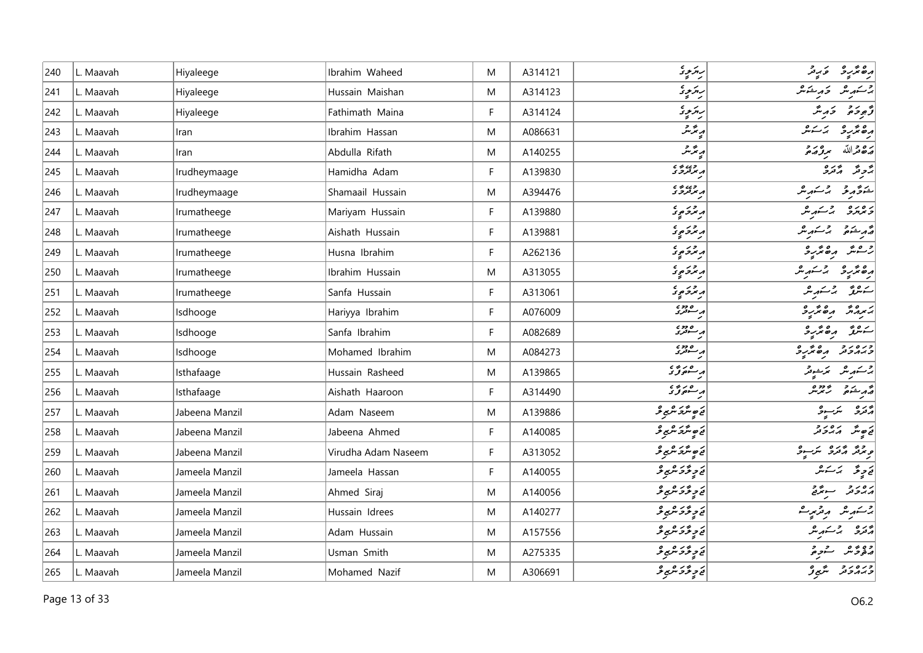| 240 | L. Maavah | Hiyaleege      | Ibrahim Waheed      | M         | A314121 | رېزون <sub>ځ</sub>             | ەھترىرى كەيدىر<br>رەمزىرى كەيدىر    |
|-----|-----------|----------------|---------------------|-----------|---------|--------------------------------|-------------------------------------|
| 241 | L. Maavah | Hiyaleege      | Hussain Maishan     | M         | A314123 | رېزونه<br>ر                    | بر شهر شهر استانتر                  |
| 242 | L. Maavah | Hiyaleege      | Fathimath Maina     | F         | A314124 | رېزونه<br>ر                    | وتبوختى خبرنتر                      |
| 243 | L. Maavah | Iran           | Ibrahim Hassan      | M         | A086631 | ەپە ئەتىر                      | ە ھەترىرى<br>برھەترىرى<br>برسەيىتىر |
| 244 | L. Maavah | Iran           | Abdulla Rifath      | M         | A140255 | لەپترىتر                       | برە قراللە<br>برورد                 |
| 245 | L. Maavah | Irudheymaage   | Hamidha Adam        | F         | A139830 | <br>  مرمرفرو <sub>ک</sub>     | برٌوترٌ     پرو                     |
| 246 | L. Maavah | Irudheymaage   | Shamaail Hussain    | ${\sf M}$ | A394476 | و پر دی و.<br>د موتور و د      | شكۇر ئى ئىسكىرىش                    |
| 247 | L. Maavah | Irumatheege    | Mariyam Hussain     | F         | A139880 | ېر تر <i>دې</i><br>ر           | גם גם ביצא ב                        |
| 248 | L. Maavah | Irumatheege    | Aishath Hussain     | F         | A139881 | <br>  پر ټر څرمو ځ             | ورشنق برسكر                         |
| 249 | L. Maavah | Irumatheege    | Husna Ibrahim       | F         | A262136 | ېر بر دې<br>بر بر دې           | رفيش مورد                           |
| 250 | L. Maavah | Irumatheege    | Ibrahim Hussain     | M         | A313055 | پر ټر ځرمو ځ                   | رە ئەر ئەسىر ش                      |
| 251 | L. Maavah | Irumatheege    | Sanfa Hussain       | F         | A313061 | ېر تر دې<br>بر تر دې           | سىقىق برسىم                         |
| 252 | L. Maavah | Isdhooge       | Hariyya Ibrahim     | F         | A076009 | ە دە دە<br>مەسىۋىرى            | بمبروش رەمگرىرو                     |
| 253 | L. Maavah | Isdhooge       | Sanfa Ibrahim       | F         | A082689 | د مستور ده.<br>مر مستولو د     | سەمدۇر مەھمگەر 2                    |
| 254 | L. Maavah | Isdhooge       | Mohamed Ibrahim     | M         | A084273 | د ره دو ته<br>در سسوتوری       | כממכני תפתיכ                        |
| 255 | L. Maavah | Isthafaage     | Hussain Rasheed     | M         | A139865 | ەر ئەرە ي<br>مەسىمى تو ي       | رحم مكر مكرجوند                     |
| 256 | L. Maavah | Isthafaage     | Aishath Haaroon     | F         | A314490 | در صريح د                      | أوكر شده و و در د                   |
| 257 | L. Maavah | Jabeena Manzil | Adam Naseem         | M         | A139886 | ئ <sub>ەھ</sub> مەئىر ئىسى بىر | أوره يرسو                           |
| 258 | L. Maavah | Jabeena Manzil | Jabeena Ahmed       | F         | A140085 | <br>  قاھ مترنجہ متر ہو گر     | قے صِنَّر کے مرد و                  |
| 259 | L. Maavah | Jabeena Manzil | Virudha Adam Naseem | F         | A313052 | ئ <sub>ەھ</sub> ىئرىخ ئىرىجە   | ه دو دره مرسوم<br>مرتگر مرتزد مرسوم |
| 260 | L. Maavah | Jameela Manzil | Jameela Hassan      | F         | A140055 | ئ <sub>ە</sub> چە ئەڭ ئىسى قە  | قام في المركب من سكانتر             |
| 261 | L. Maavah | Jameela Manzil | Ahmed Siraj         | ${\sf M}$ | A140056 | ئے پەئۇچە ئىرىمۇ               | رەرد سەرد                           |
| 262 | L. Maavah | Jameela Manzil | Hussain Idrees      | ${\sf M}$ | A140277 | نے <sub>حی</sub> قت شیخ قر     | جر شهر شهر مروته پر مشهر می<br>مسلم |
| 263 | L. Maavah | Jameela Manzil | Adam Hussain        | ${\sf M}$ | A157556 | ئے پەئۇچە شىبو پىر             | أروه بركتهر مثر                     |
| 264 | L. Maavah | Jameela Manzil | Usman Smith         | M         | A275335 | ئے پەئۇچە ئىرىجە               | وەم مەر                             |
| 265 | L. Maavah | Jameela Manzil | Mohamed Nazif       | ${\sf M}$ | A306691 | ئے بر پڑ دکھیے پڑ              | ورەر د شيرو                         |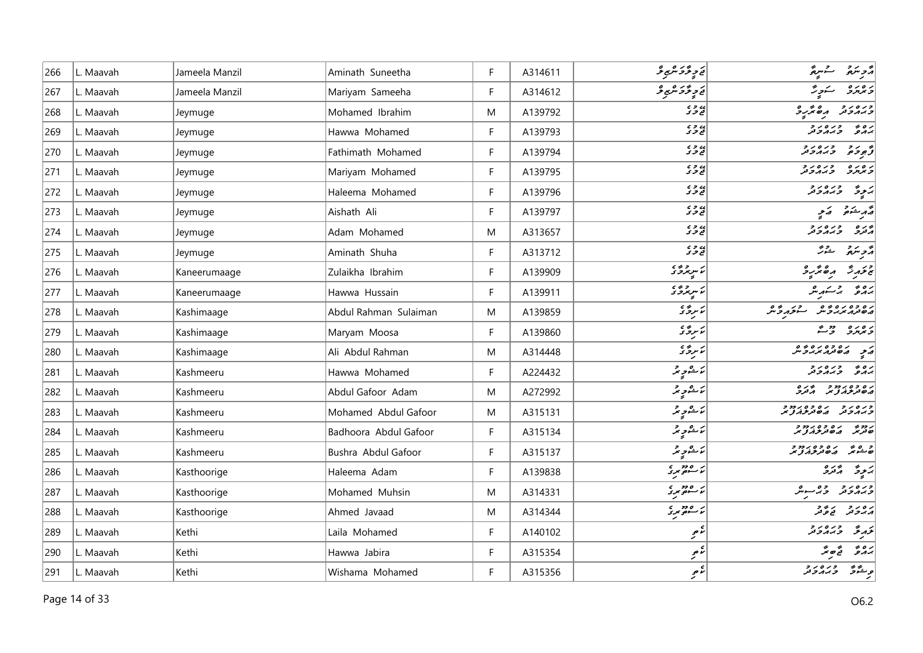| 266 | L. Maavah  | Jameela Manzil | Aminath Suneetha      | $\mathsf F$ | A314611 | ئ <sub>ۇ ت</sub> ۇر ئى <sub>رى</sub> ئ | أرمز سنبر<br>سە يېرىد                                            |
|-----|------------|----------------|-----------------------|-------------|---------|----------------------------------------|------------------------------------------------------------------|
| 267 | L. Maavah  | Jameela Manzil | Mariyam Sameeha       | $\mathsf F$ | A314612 | ر<br>ئ <i>ے پە</i> ئۇ ئەنگىي ئى        | ر ه ر ه<br><del>د</del> بربرو                                    |
| 268 | L. Maavah  | Jeymuge        | Mohamed Ibrahim       | M           | A139792 | ړے و پر<br>مخ <b>ر</b> حر              | رەئزىر<br>و ر ه ر د<br><i>و پر پر</i> وتر                        |
| 269 | LL. Maavah | Jeymuge        | Hawwa Mohamed         | F.          | A139793 | ړ، و بر<br>قع تر تو                    | و ر ه ر د<br>تر پر ژ تر<br>ر ہ ء<br>براد بح                      |
| 270 | L. Maavah  | Jeymuge        | Fathimath Mohamed     | $\mathsf F$ | A139794 | ړے و ن<br>قع تر <sub>ک</sub>           | و ره ر د<br><i>و پر</i> و تر<br>وحجمج وحمح                       |
| 271 | L. Maavah  | Jeymuge        | Mariyam Mohamed       | $\mathsf F$ | A139795 | ړے و پر<br>مخ <b>ر</b> حر              | ر ه ر ه<br><del>ر</del> بر بر و<br>و ره ر و<br><i>و پر د</i> تر  |
| 272 | L. Maavah  | Jeymuge        | Haleema Mohamed       | F           | A139796 | ړ، و ع<br>قع تر <sub>ک</sub>           | و ره ر و<br><i>د ب</i> رگرفر<br>  پر پوځ                         |
| 273 | L. Maavah  | Jeymuge        | Aishath Ali           | F           | A139797 | ړے و ن<br>قع <del>ت</del> ر تح         |                                                                  |
| 274 | L. Maavah  | Jeymuge        | Adam Mohamed          | M           | A313657 | ړ، و ع<br>قع تر <sub>ک</sub>           | أوتره<br>و رە ر د<br>تر پروتر                                    |
| 275 | L. Maavah  | Jeymuge        | Aminath Shuha         | $\mathsf F$ | A313712 | ړ، و ع<br>قع تر <sub>ک</sub>           | أروسكم شر                                                        |
| 276 | L. Maavah  | Kaneerumaage   | Zulaikha Ibrahim      | F           | A139909 | لأسبه جروي                             | تمخير شمو المحتجم                                                |
| 277 | LL. Maavah | Kaneerumaage   | Hawwa Hussain         | F           | A139911 | ر سرچوي<br>ماسي پردي                   | رەپ رومبر                                                        |
| 278 | L. Maavah  | Kashimaage     | Abdul Rahman Sulaiman | M           | A139859 | ر<br>ما مرچ د                          | رە دەرە دەر دىر دەر                                              |
| 279 | L. Maavah  | Kashimaage     | Maryam Moosa          | $\mathsf F$ | A139860 | ر<br>مأمور <sup>ي</sup>                | ره ره دور                                                        |
| 280 | L. Maavah  | Kashimaage     | Ali Abdul Rahman      | M           | A314448 | ر<br>ئەبرىرى                           | ره وه ره د ه<br>په <i>ه تر پر پر</i> تر س<br>اضعجه               |
| 281 | IL. Maavah | Kashmeeru      | Hawwa Mohamed         | F           | A224432 | ىر ھ <sub>ى</sub> جەرىجە               | رە ء<br>پروتى<br>و ره ر و<br><i>د ب</i> رگرفر                    |
| 282 | L. Maavah  | Kashmeeru      | Abdul Gafoor Adam     | M           | A272992 | لأمشو ير                               | ر 2000 ביני<br>הם <i>נקב</i> ה צ'ידי ה <sup>ב</sup> נידי         |
| 283 | L. Maavah  | Kashmeeru      | Mohamed Abdul Gafoor  | M           | A315131 | لأمشوجه                                | כנסנכ נסכסנככ<br><i>כג</i> וגבת ו <i>מסתכונצ</i>                 |
| 284 | L. Maavah  | Kashmeeru      | Badhoora Abdul Gafoor | F           | A315134 | لأمشو ير                               | ر دو به ره وه بر دو و<br>ص <sup>و</sup> ر <i>بر ه</i> مرکز در بر |
| 285 | LL. Maavah | Kashmeeru      | Bushra Abdul Gafoor   | F.          | A315137 | لأمشوجه                                | ر ه و ه ر دد و<br>پرې تر پر تر بر<br>ە شەپىر<br>ھەشىر            |
| 286 | L. Maavah  | Kasthoorige    | Haleema Adam          | $\mathsf F$ | A139838 | ر ده ده<br>تا سنهج مورد                | يَجِعٌ الْمُعْرَفَ                                               |
| 287 | L. Maavah  | Kasthoorige    | Mohamed Muhsin        | M           | A314331 | ر ده دو.<br>ما سوه مرد                 |                                                                  |
| 288 | L. Maavah  | Kasthoorige    | Ahmed Javaad          | M           | A314344 | ر دود پره<br>پوستونو پره               | ره رو درود<br>  پرچانس اقع حزائر                                 |
| 289 | L. Maavah  | Kethi          | Laila Mohamed         | F           | A140102 | ء<br>مو                                | و ره ر و<br><i>د ب</i> رگرفر<br>تحريحه                           |
| 290 | L. Maavah  | Kethi          | Hawwa Jabira          | $\mathsf F$ | A315354 | ء<br>مو                                | $\frac{2}{3}$ $\frac{2}{3}$ $\frac{2}{3}$                        |
| 291 | L. Maavah  | Kethi          | Wishama Mohamed       | F           | A315356 | ې<br>مومو                              | وحشوش وره دو                                                     |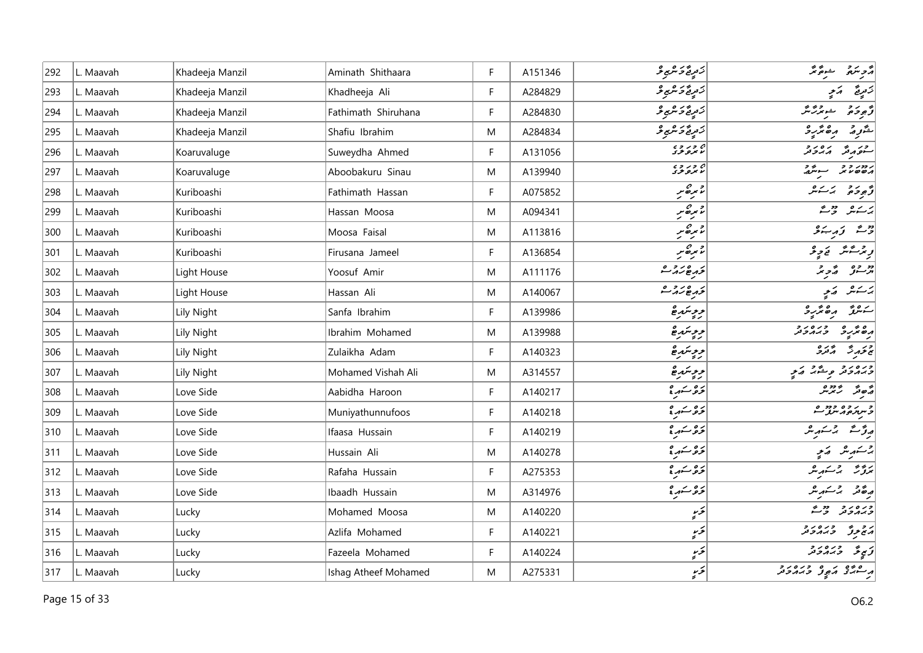| 292 | L. Maavah | Khadeeja Manzil   | Aminath Shithaara    | F         | A151346 | زَمِرِيَّ دَسْمَعِ دْ         |                                                  |
|-----|-----------|-------------------|----------------------|-----------|---------|-------------------------------|--------------------------------------------------|
| 293 | L. Maavah | Khadeeja Manzil   | Khadheeja Ali        | F         | A284829 | زَمِرِيَّ تَرَ مَّرْبِعِ تَرَ | رَسِيعٌ مَرِ                                     |
| 294 | L. Maavah | Khadeeja Manzil   | Fathimath Shiruhana  | F         | A284830 | زىر ئەز ئىر ئو                | ىشە <i>بىر شەڭ</i> ر<br>ۇ بوز <i>ە</i>           |
| 295 | L. Maavah | Khadeeja Manzil   | Shafiu Ibrahim       | M         | A284834 | ر <i>زوقى ئەنگىمى</i> ئى      | برە ئۆرۈ<br>ڪور                                  |
| 296 | L. Maavah | Koaruvaluge       | Suweydha Ahmed       | F         | A131056 | ہ ور و ،<br>تا برونوی         | وروش مدرور                                       |
| 297 | L. Maavah | Koaruvaluge       | Aboobakuru Sinau     | ${\sf M}$ | A139940 | ہ ور و ،<br>ما موکوی          | 29/200/                                          |
| 298 | L. Maavah | Kuriboashi        | Fathimath Hassan     | F         | A075852 | د<br>ما موھور                 | قرموخا والمسكان                                  |
| 299 | L. Maavah | Kuriboashi        | Hassan Moosa         | ${\sf M}$ | A094341 | لأبرة مر                      | ير کے مراج کے حالات                              |
| 300 | L. Maavah | Kuriboashi        | Moosa Faisal         | ${\sf M}$ | A113816 | $rac{1}{\sqrt{2}}$            | دهم تەرىبىۋ                                      |
| 301 | L. Maavah | Kuriboashi        | Firusana Jameel      | F         | A136854 | لأمرة مر                      | و پر شهر نے پای                                  |
| 302 | L. Maavah | Light House       | Yoosuf Amir          | M         | A111176 | ىخ ب <i>ر قارىر 2</i>         | وريدو كمربر                                      |
| 303 | L. Maavah | Light House       | Hassan Ali           | M         | A140067 | خەرچە ئەجرى                   | أيز ستعقب أمراجي                                 |
| 304 | L. Maavah | Lily Night        | Sanfa Ibrahim        | F         | A139986 | وويئدة                        | سەمدىر ھەمزىر                                    |
| 305 | L. Maavah | <b>Lily Night</b> | Ibrahim Mohamed      | ${\sf M}$ | A139988 | ووبئدء                        | و ر ه ر و<br>تر پر ژ تر<br>ارە ئ <sup>ۆ</sup> رۈ |
| 306 | L. Maavah | <b>Lily Night</b> | Zulaikha Adam        | F         | A140323 | ووبئدء                        | ح پخ مرکز می شود.<br>محمد مرکز مرکز مرکز می شود. |
| 307 | L. Maavah | <b>Lily Night</b> | Mohamed Vishah Ali   | M         | A314557 | وويئهره                       | ورەرو وېشم كو                                    |
| 308 | L. Maavah | Love Side         | Aabidha Haroon       | F         | A140217 | ىرە سەر ؟                     | أره محمد المحمد                                  |
| 309 | L. Maavah | Love Side         | Muniyathunnufoos     | F         | A140218 | ئەڭ سىر بۇ                    | و سروه ودو ه                                     |
| 310 | L. Maavah | Love Side         | Ifaasa Hussain       | F         | A140219 | ئۇرۇشىمر ؟                    | أمروَّے برخسر میں                                |
| 311 | L. Maavah | Love Side         | Hussain Ali          | M         | A140278 | ئەھ سەدى                      | ج سکه بلند اور توپه                              |
| 312 | L. Maavah | Love Side         | Rafaha Hussain       | F         | A275353 | ئەۋسىر ي                      | بروس برسمه مر                                    |
| 313 | L. Maavah | Love Side         | Ibaadh Hussain       | M         | A314976 | ىرە سەرە                      | مەھىر برگىدىش                                    |
| 314 | L. Maavah | Lucky             | Mohamed Moosa        | ${\sf M}$ | A140220 | ائخيبه                        | وره دو دورمج                                     |
| 315 | L. Maavah | Lucky             | Azlifa Mohamed       | F         | A140221 | ائچە<br>ئە                    | גיק כנסגד<br>האקל כלחכת                          |
| 316 | L. Maavah | Lucky             | Fazeela Mohamed      | F         | A140224 | ائح<br>سقط                    | زېږ دره در                                       |
| 317 | L. Maavah | Lucky             | Ishag Atheef Mohamed | ${\sf M}$ | A275331 | ابچە                          | و مشرق و و در مدد د                              |
|     |           |                   |                      |           |         |                               |                                                  |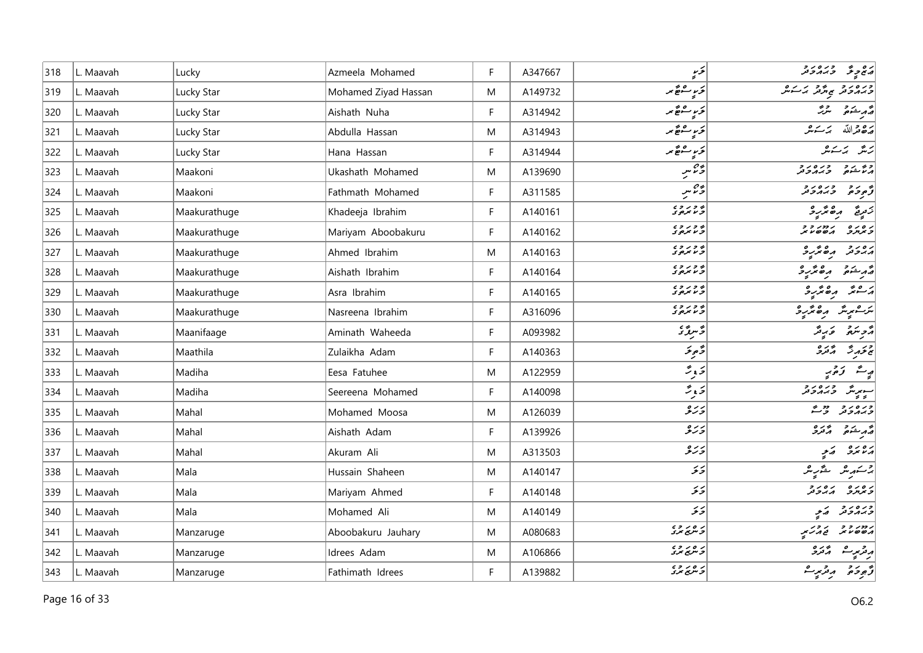| 318 | L. Maavah  | Lucky        | Azmeela Mohamed      | F  | A347667 | ائحيد                             | روح و دره در                                                    |
|-----|------------|--------------|----------------------|----|---------|-----------------------------------|-----------------------------------------------------------------|
| 319 | L. Maavah  | Lucky Star   | Mohamed Ziyad Hassan | M  | A149732 | لجربه يقفحهم                      | ورەرو پەرە بەك                                                  |
| 320 | L. Maavah  | Lucky Star   | Aishath Nuha         | F  | A314942 | ئۈرىشى ئىچ                        | أمار منظم المسترك                                               |
| 321 | L. Maavah  | Lucky Star   | Abdulla Hassan       | M  | A314943 | ئەرىپە شەھىر                      | مَدْهُ مِّدَاللَّهُ بَرَسَوْسُ                                  |
| 322 | L. Maavah  | Lucky Star   | Hana Hassan          | F  | A314944 | ئەربە شقى ئىر                     | رُنگ پُرَسَکَنَّ                                                |
| 323 | L. Maavah  | Maakoni      | Ukashath Mohamed     | M  | A139690 | و مهمبر<br>حرمانبر                | وه رو وره رو<br>پرناختونی وبرپروتر                              |
| 324 | L. Maavah  | Maakoni      | Fathmath Mohamed     | F  | A311585 | و مهمبر<br>مر                     | 3,017 - 2017<br>3050 - 20050                                    |
| 325 | L. Maavah  | Maakurathuge | Khadeeja Ibrahim     | F  | A140161 | ه د ر د ،<br>د ر بره د            | زَمِيعٌ رِهِ مُرْرِدٌ                                           |
| 326 | L. Maavah  | Maakurathuge | Mariyam Aboobakuru   | F  | A140162 | ه و ر و ،<br>تر <i>ما بو</i> بو ی | 77777<br>ر ه ر ه<br><del>د</del> بربرگ                          |
| 327 | L. Maavah  | Maakurathuge | Ahmed Ibrahim        | M  | A140163 | ه و ر و ،<br>تر ما موجو ی         | ג פי כ ה פי בי ב                                                |
| 328 | L. Maavah  | Maakurathuge | Aishath Ibrahim      | F. | A140164 | ه د د د ه<br>تر د برو د           | برە ئۆر ۋ<br>پ <sup>و</sup> پر ڪر د                             |
| 329 | L. Maavah  | Maakurathuge | Asra Ibrahim         | F  | A140165 | ه و ر و ،<br>ژ <i>، بره</i> ی     | رمشر<br>ە ھەمەر 2<br>بەھەمەر 2                                  |
| 330 | L. Maavah  | Maakurathuge | Nasreena Ibrahim     | F  | A316096 | ه د ر د ،<br>د تا برو د           | ەرھەترىر <sup>ى</sup><br>ىئەب<br>ئىرىشىمە                       |
| 331 | L. Maavah  | Maanifaage   | Aminath Waheeda      | F  | A093982 | ۇسرۇپ                             | أأدمره أورقه                                                    |
| 332 | L. Maavah  | Maathila     | Zulaikha Adam        | F  | A140363 | ۇ ئە                              | <br>  مح محر مر<br>پە رە<br>مەنزۈ                               |
| 333 | IL. Maavah | Madiha       | Eesa Fatuhee         | M  | A122959 | ځوچ                               | $\frac{2}{3}$                                                   |
| 334 | L. Maavah  | Madiha       | Seereena Mohamed     | F  | A140098 | وبالحج                            | سوپرس ورورد                                                     |
| 335 | L. Maavah  | Mahal        | Mohamed Moosa        | M  | A126039 | ۇزۇ                               | وره رو دور                                                      |
| 336 | L. Maavah  | Mahal        | Aishath Adam         | F. | A139926 | ۇرپى                              | أقهر شدة مستجدة                                                 |
| 337 | L. Maavah  | Mahal        | Akuram Ali           | M  | A313503 | ۇزىۋ                              | رەرە كېر                                                        |
| 338 | L. Maavah  | Mala         | Hussain Shaheen      | M  | A140147 | ترىخە                             | چە سەر سىر سىر سىر                                              |
| 339 | L. Maavah  | Mala         | Mariyam Ahmed        | F  | A140148 | زىز                               | ر ه ر ه<br>د بربرد<br>بر 2 ر ح<br>م <i>ر</i> بر <del>و</del> تر |
| 340 | L. Maavah  | Mala         | Mohamed Ali          | M  | A140149 | ىرى                               | وره رو در                                                       |
| 341 | L. Maavah  | Manzaruge    | Aboobakuru Jauhary   | M  | A080683 | ر ۵ ر و ،<br>تر شریح مور          |                                                                 |
| 342 | L. Maavah  | Manzaruge    | Idrees Adam          | M  | A106866 | ر ۵ ر و ۷<br>تر سرچ مرد           | ارتر موسط مدره<br>ارتر موسط مدرد                                |
| 343 | L. Maavah  | Manzaruge    | Fathimath Idrees     | F. | A139882 | ر ۵ ر و ،<br>تر شریح بوری         | و ده مرمز پ                                                     |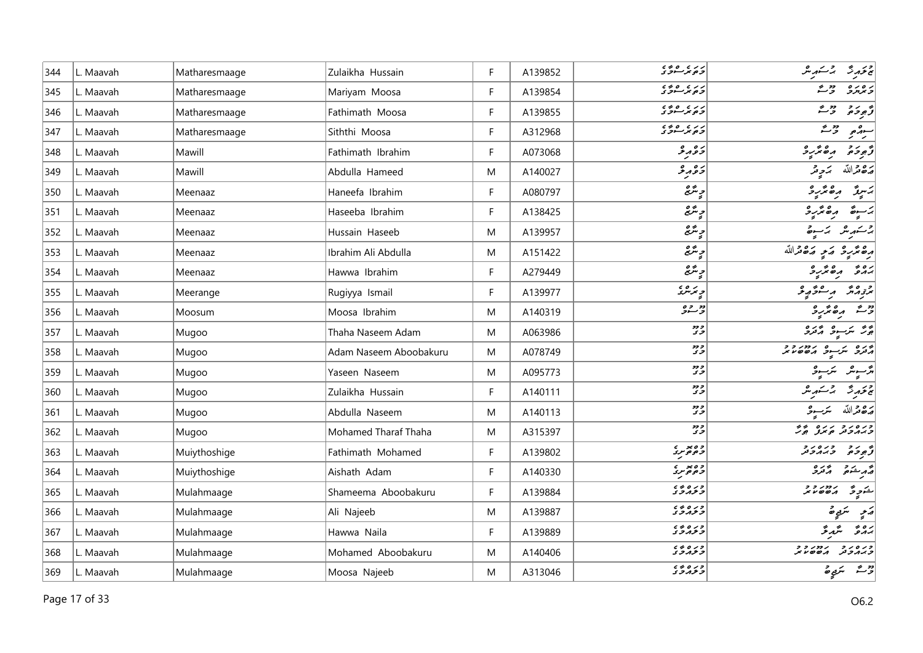| 344 | L. Maavah  | Matharesmaage | Zulaikha Hussain       | F  | A139852 | ر ر ر ه و د ،<br><del>و ه</del> مرسو <del>د</del> د | برسەمەر<br>  تحريم رجح                        |
|-----|------------|---------------|------------------------|----|---------|-----------------------------------------------------|-----------------------------------------------|
| 345 | L. Maavah  | Matharesmaage | Mariyam Moosa          | F. | A139854 | ر ر ، ر ه » ،<br><del>و</del> ه پرسو <del>ر</del>   | ر ه ر ه<br>د بربر د<br>دو مح                  |
| 346 | L. Maavah  | Matharesmaage | Fathimath Moosa        | F. | A139855 | ر ر ء مرو <del>ءِ</del><br>حرم تر سو د ي            | دی مشتر<br>وٌجوحه                             |
| 347 | LL. Maavah | Matharesmaage | Siththi Moosa          | F. | A312968 | ر ر ۽ ه و ۽<br>وي پر سور <sub>ک</sub>               | دويم<br>سودھ                                  |
| 348 | L. Maavah  | Mawill        | Fathimath Ibrahim      | F  | A073068 | ئەھمەيخە                                            | ە ھەترىرى<br>برھىترىرى<br>وٌمورَم             |
| 349 | L. Maavah  | Mawill        | Abdulla Hameed         | M  | A140027 | خوم پی                                              | صقعرالله<br>برکوفر                            |
| 350 | L. Maavah  | Meenaaz       | Haneefa Ibrahim        | F  | A080797 | جريثي                                               | بَسِدٌ رِهْنَرِ دِ                            |
| 351 | L. Maavah  | Meenaaz       | Haseeba Ibrahim        | F. | A138425 | جريثي                                               | ەرھەترىرى<br>ر<br>برَب                        |
| 352 | L. Maavah  | Meenaaz       | Hussain Haseeb         | M  | A139957 | حريثره                                              | برسكهر مركب وتح                               |
| 353 | L. Maavah  | Meenaaz       | Ibrahim Ali Abdulla    | M  | A151422 | جريثره                                              | مەھەر ئەس مەھەراللە                           |
| 354 | L. Maavah  | Meenaaz       | Hawwa Ibrahim          | F  | A279449 | حريثره                                              |                                               |
| 355 | L. Maavah  | Meerange      | Rugiyya Ismail         | F  | A139977 | جە ئىر مەم<br>ئ                                     |                                               |
| 356 | L. Maavah  | Moosum        | Moosa Ibrahim          | M  | A140319 | دد وه                                               | $\frac{1}{2}$                                 |
| 357 | L. Maavah  | Mugoo         | Thaha Naseem Adam      | M  | A063986 | و دد<br>و ی                                         | وی <sub>مرکسو</sub> ی <sub>م</sub> رده<br>وی  |
| 358 | L. Maavah  | Mugoo         | Adam Naseem Aboobakuru | M  | A078749 | و دد<br>و ی                                         | מנים הליים נחינים                             |
| 359 | L. Maavah  | Mugoo         | Yaseen Naseem          | M  | A095773 | و دو<br>و ی                                         | ئۆسەش سەسى <sub>ر</sub> ى<br>                 |
| 360 | L. Maavah  | Mugoo         | Zulaikha Hussain       | F. | A140111 | و دو<br>و ی                                         | ىم خرمرڭ بىر سىر بىر                          |
| 361 | L. Maavah  | Mugoo         | Abdulla Naseem         | M  | A140113 | و دو<br>و ی                                         | رَة قرالله سَرَبِ وَ                          |
| 362 | L. Maavah  | Mugoo         | Mohamed Tharaf Thaha   | M  | A315397 | و دد<br>ترم                                         | 22 222 222 22                                 |
| 363 | L. Maavah  | Muiythoshige  | Fathimath Mohamed      | F  | A139802 | و ه بو ر پر<br>حرمو مړي                             | أوجوحه ورورد                                  |
| 364 | L. Maavah  | Muiythoshige  | Aishath Adam           | F  | A140330 | ه ه بر پر<br>تر موموری                              | و<br>مگر شو محمد د                            |
| 365 | L. Maavah  | Mulahmaage    | Shameema Aboobakuru    | F  | A139884 | و ره و »<br>د نوار د د                              | شەرچ<br>77777                                 |
| 366 | LL. Maavah | Mulahmaage    | Ali Najeeb             | M  | A139887 | و ره و »<br>د <del>و</del> د د د                    | ړکو سرمړه<br>مړ                               |
| 367 | L. Maavah  | Mulahmaage    | Hawwa Naila            | F  | A139889 | و ره و »<br>د <del>و</del> د د د                    | رەپچ<br>سَّرمر تَر                            |
| 368 | L. Maavah  | Mulahmaage    | Mohamed Aboobakuru     | M  | A140406 | و ره و »<br>تر په ژ                                 | و ر ه ر و<br>و پر پر <del>و</del> تر<br>77777 |
| 369 | L. Maavah  | Mulahmaage    | Moosa Najeeb           | M  | A313046 | و ره و د<br><del>ر</del> بو بر د                    | ژ گ سَرَمٍ صَ                                 |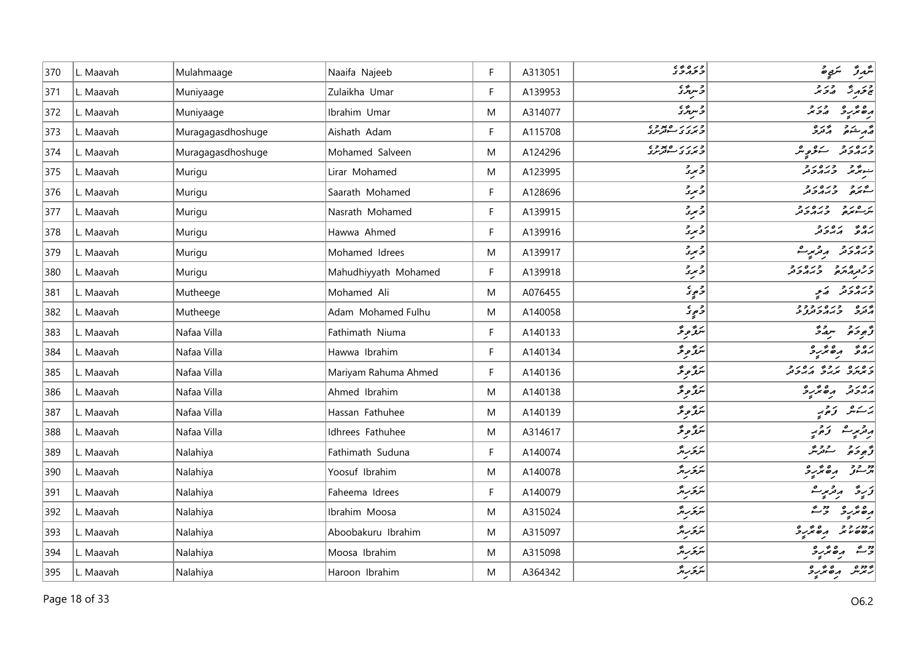| 370 | L. Maavah  | Mulahmaage        | Naaifa Najeeb        | F  | A313051 | و ره و ،<br>د <del>و</del> د د د             | سكوية<br>شمرڙ<br>سندر                                     |
|-----|------------|-------------------|----------------------|----|---------|----------------------------------------------|-----------------------------------------------------------|
| 371 | L. Maavah  | Muniyaage         | Zulaikha Umar        | F. | A139953 | و سرمر<br>و سرمر                             | ج ځه پر جح<br>ور و<br>در تر                               |
| 372 | L. Maavah  | Muniyaage         | Ibrahim Umar         | M  | A314077 | وسرمر                                        | ە ھەترىرى<br>س<br>ەرىر                                    |
| 373 | L. Maavah  | Muragagasdhoshuge | Aishath Adam         | F. | A115708 | و ر ر ر ه مد و د<br>تر بوی ی سوتوری          | پ <sup>و</sup> مرشوحو<br>پھر ہ<br>مرکز                    |
| 374 | L. Maavah  | Muragagasdhoshuge | Mohamed Salveen      | M  | A124296 | و ر ر ر _ _ _ _ _ _ _ _<br>تر بوی کے مسلوموں | و ر ه ر د<br>تر پر ژنر<br>سەۋەپىر                         |
| 375 | L. Maavah  | Murigu            | Lirar Mohamed        | M  | A123995 | و<br>ترىمرى                                  | و رە ر د<br>تر پروتر<br>سى <sub>وم</sub> ترىتر            |
| 376 | L. Maavah  | Murigu            | Saarath Mohamed      | F  | A128696 | و<br>و بو و                                  | شرد دره دو                                                |
| 377 | L. Maavah  | Murigu            | Nasrath Mohamed      | F  | A139915 | و برد<br>ر                                   | و ره ر و<br><i>و پر</i> و تر<br>ىر قەير ج                 |
| 378 | L. Maavah  | Murigu            | Hawwa Ahmed          | F  | A139916 | و برد<br>و برد                               | ره ده رور<br>پهرو مدرونر                                  |
| 379 | L. Maavah  | Murigu            | Mohamed Idrees       | M  | A139917 | و بر د<br>تر مرد                             | ورەرو مەرىپ                                               |
| 380 | L. Maavah  | Murigu            | Mahudhiyyath Mohamed | F  | A139918 | و برد<br>و برد                               | وره ر د<br><i>د ب</i> رگرفر<br>تر و بر در و               |
| 381 | L. Maavah  | Mutheege          | Mohamed Ali          | M  | A076455 | د<br>ترمړنه                                  | وره رو کرد که                                             |
| 382 | L. Maavah  | Mutheege          | Adam Mohamed Fulhu   | M  | A140058 | د<br>ترمړنو                                  | و ر ه د و و و<br>تر <i>پر پر ترو</i> لو<br>په ره<br>درگرو |
| 383 | L. Maavah  | Nafaa Villa       | Fathimath Niuma      | F  | A140133 | ىئرتۇ بۇ ئى                                  | توجدة سرحيح                                               |
| 384 | L. Maavah  | Nafaa Villa       | Hawwa Ibrahim        | F  | A140134 | ىرۇ <sub>گ</sub> وۇ                          | برەپچ<br>ە ھەترىر ۋ                                       |
| 385 | L. Maavah  | Nafaa Villa       | Mariyam Rahuma Ahmed | F  | A140136 | ىئەتۋە <sub>م</sub> ۇ                        | ג סגם גבל גםגב<br>בינו <i>ניב</i> ו <i>גיב</i> נג         |
| 386 | L. Maavah  | Nafaa Villa       | Ahmed Ibrahim        | M  | A140138 | ىئوگۇ ق                                      | ورود مصرور                                                |
| 387 | L. Maavah  | Nafaa Villa       | Hassan Fathuhee      | M  | A140139 | سَرَّحْرِ تَحْ                               | برسەش<br>توځ په                                           |
| 388 | L. Maavah  | Nafaa Villa       | Idhrees Fathuhee     | M  | A314617 | سَمَدَّحِرَ                                  | <br>  روز بر ے<br> <br>تر د<br>تره پر                     |
| 389 | L. Maavah  | Nalahiya          | Fathimath Suduna     | F  | A140074 | يتزبزريم                                     | وحموحهم<br>سەدرىتر                                        |
| 390 | LL. Maavah | Nalahiya          | Yoosuf Ibrahim       | M  | A140078 | يترىخر بتر                                   | دد به در<br>مرتسکو<br>مەھترىرى                            |
| 391 | L. Maavah  | Nalahiya          | Faheema Idrees       | F  | A140079 | يرۇرېژ                                       | تۇر <sub>ى</sub> قە<br>ىر قرىيە ھ                         |
| 392 | L. Maavah  | Nalahiya          | Ibrahim Moosa        | M  | A315024 | يتزبرير                                      | ەرھ ئ <sup>ۆ</sup> ر ۋ<br>د هم شه                         |
| 393 | L. Maavah  | Nalahiya          | Aboobakuru Ibrahim   | M  | A315097 | يتزبريثر                                     | 77/77/<br>مەھترىرى                                        |
| 394 | L. Maavah  | Nalahiya          | Moosa Ibrahim        | M  | A315098 | يتزنجر بثر                                   | ەھ ترىرى<br>دی مشتر<br>حراکت                              |
| 395 | L. Maavah  | Nalahiya          | Haroon Ibrahim       | M  | A364342 | يتزنجر بثر                                   | وجعام متصرو                                               |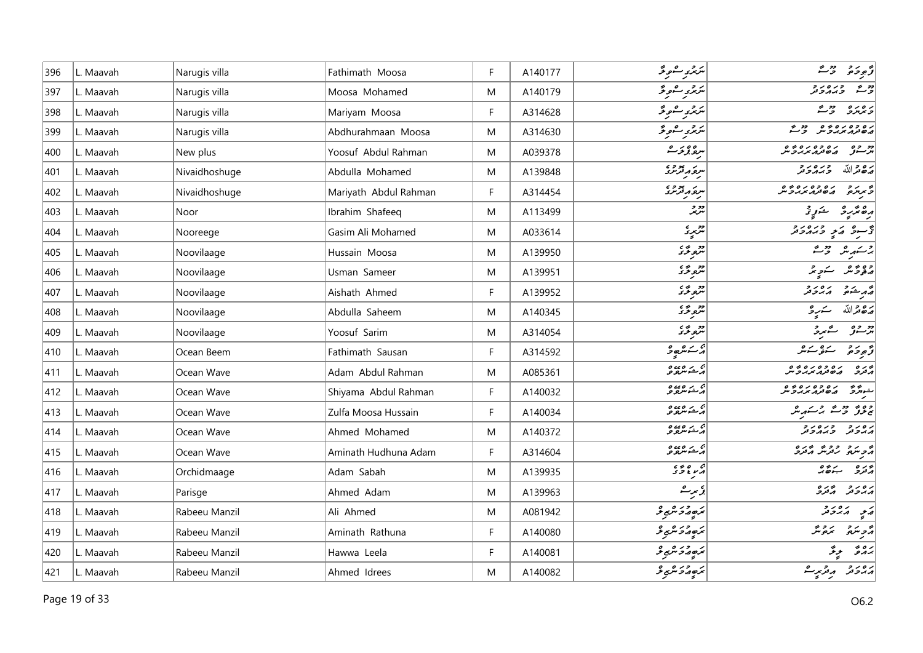| 396 | L. Maavah  | Narugis villa | Fathimath Moosa       | F  | A140177 | ىئر <i>پرېمو سىمو</i> ئۇ                      | أزوده ومث                                                 |
|-----|------------|---------------|-----------------------|----|---------|-----------------------------------------------|-----------------------------------------------------------|
| 397 | L. Maavah  | Narugis villa | Moosa Mohamed         | M  | A140179 | ىئر <i>پرېمو</i> موقى                         | ترثئه<br>و ر ه ر د<br>تر پر ژ تر                          |
| 398 | L. Maavah  | Narugis villa | Mariyam Moosa         | F  | A314628 | ىئەتترى <sub>ر</sub> ش <sub>ەھب</sub> ۇ       | ر ه ر ه<br><del>د</del> بربر د                            |
| 399 | LL. Maavah | Narugis villa | Abdhurahmaan Moosa    | M  | A314630 | ىئر <i>پرېمو سى</i> ھو قە                     | ره ده ره ده در در د                                       |
| 400 | L. Maavah  | New plus      | Yoosuf Abdul Rahman   | M  | A039378 | سرە بۇ بۇ ب                                   | ره وه ره ده<br>په ه تر پر بر بر<br>دد رحمو                |
| 401 | L. Maavah  | Nivaidhoshuge | Abdulla Mohamed       | M  | A139848 | سرکھ وقریری<br>سرکھ وقریری                    | و رە ر د<br>تر پروتر<br>برە تراللە                        |
| 402 | L. Maavah  | Nivaidhoshuge | Mariyath Abdul Rahman | F  | A314454 | سرچە جە ج<br>سرچە سرچىرى                      | ره وه ره ۶ ه<br>پره تربر تر تر تر<br>ۇ برېزە <sub>ۋ</sub> |
| 403 | L. Maavah  | Noor          | Ibrahim Shafeeq       | M  | A113499 | دد د<br>سربر                                  | رە ئەر ئىستىم                                             |
| 404 | L. Maavah  | Nooreege      | Gasim Ali Mohamed     | M  | A033614 | دد<br>مترسمي د                                | كخ سوط أيمو وبرود و                                       |
| 405 | LL. Maavah | Noovilaage    | Hussain Moosa         | M  | A139950 | دد په په<br>سرعو تر د                         | جر شهر شده محر مشک                                        |
| 406 | L. Maavah  | Noovilaage    | Usman Sameer          | M  | A139951 | دد پر پر<br>سر <sub>گر</sub> بر               | وه ده و د د د                                             |
| 407 | LL. Maavah | Noovilaage    | Aishath Ahmed         | F  | A139952 | دد پر پر<br>سر <sub>گر</sub> بر بر            | وكرشكو ورود                                               |
| 408 | L. Maavah  | Noovilaage    | Abdulla Saheem        | M  | A140345 | دد په په<br>سر <sub>گرم</sub> ونو             | رەقراللە سەرو                                             |
| 409 | L. Maavah  | Noovilaage    | Yoosuf Sarim          | M  | A314054 | دد<br>متر <sub>جو</sub> بحری                  | دو وه مشعر د                                              |
| 410 | L. Maavah  | Ocean Beem    | Fathimath Sausan      | F  | A314592 | پر سرچ و                                      | ۇي <sub>م</sub> ومۇ سۇم سەمىر                             |
| 411 | IL. Maavah | Ocean Wave    | Adam Abdul Rahman     | M  | A085361 | ج پر ويء و<br>مرش <sub>و</sub> مبر <i>و</i> و | ر ه و ه د ه د ه<br>پره تربر تر س<br>ر در ه<br>در تر ژ     |
| 412 | LL. Maavah | Ocean Wave    | Shiyama Abdul Rahman  | F  | A140032 | ج پر 200<br>پر شوسرو و                        | ره وه ره ده و.<br>پره تربر تر س<br>شەدگر گر               |
| 413 | L. Maavah  | Ocean Wave    | Zulfa Moosa Hussain   | F. | A140034 | ج پر ويء و<br>هر شوسرو و                      | دە بەيدى جەسەر شەر                                        |
| 414 | L. Maavah  | Ocean Wave    | Ahmed Mohamed         | M  | A140372 | ایم شه ۱۵۵۵<br>امر شهر شر <i>و</i> و          | ג סגב בגם גב<br>גגב בג בגרב                               |
| 415 | L. Maavah  | Ocean Wave    | Aminath Hudhuna Adam  | F  | A314604 | ج پر ويء و<br>پر شوسرو و                      | د در در دره دره<br>د د سره رس د در                        |
| 416 | LL. Maavah | Orchidmaage   | Adam Sabah            | M  | A139935 | 0.<br> پرس و دی                               | پره پريوه<br>پرترو پوهن                                   |
| 417 | L. Maavah  | Parisge       | Ahmed Adam            | M  | A139963 | ۇ بر م                                        | پور ہ<br>مرکزو<br>ر ەر د<br>م <i>.ئ</i> رىر               |
| 418 | L. Maavah  | Rabeeu Manzil | Ali Ahmed             | M  | A081942 | ئەھەر ئەسىم ب <sup>9</sup>                    | أيمو أيرود                                                |
| 419 | L. Maavah  | Rabeeu Manzil | Aminath Rathuna       | F  | A140080 | <i>بڑھ</i> پڑھ شریح څ                         | أأدبتهم بموش                                              |
| 420 | L. Maavah  | Rabeeu Manzil | Hawwa Leela           | F. | A140081 | ئەھەر ئەشرىجە بىر                             | $rac{20}{50}$<br>حرقر                                     |
| 421 | L. Maavah  | Rabeeu Manzil | Ahmed Idrees          | M  | A140082 | برَەەر ئەرىبى ئە                              | ەردو مەقرىرى                                              |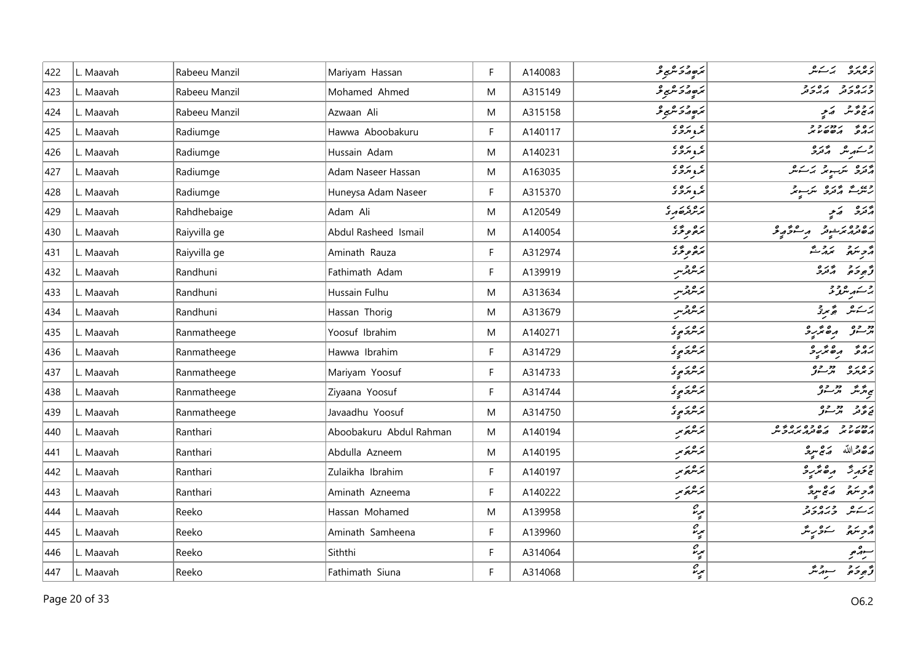| 422 | L. Maavah | Rabeeu Manzil | Mariyam Hassan          | F. | A140083 | ئەھەر ئەسىر ق                                      | دەرە بەسەر                                             |
|-----|-----------|---------------|-------------------------|----|---------|----------------------------------------------------|--------------------------------------------------------|
| 423 | L. Maavah | Rabeeu Manzil | Mohamed Ahmed           | M  | A315149 | پرېږې د عربې د                                     | כנסנכ נסנכ<br><i>כג</i> ונכנג ו <i>ג'י</i> כנג         |
| 424 | L. Maavah | Rabeeu Manzil | Azwaan Ali              | M  | A315158 | برَهور د عروج                                      | د د و د په کار کې د                                    |
| 425 | L. Maavah | Radiumge      | Hawwa Aboobakuru        | F. | A140117 | ې به ده ،<br>مرد مرد د                             | 77777<br>ر ه و<br>پروتخ                                |
| 426 | L. Maavah | Radiumge      | Hussain Adam            | Μ  | A140231 | ړ ده ده<br>مرغ در                                  | جر شهر شهره<br>مرسکر سر                                |
| 427 | L. Maavah | Radiumge      | Adam Naseer Hassan      | M  | A163035 | ې به ده ،<br>مرد مرد د                             | وره مربار بر براه<br>مرکزی مربار بر                    |
| 428 | L. Maavah | Radiumge      | Huneysa Adam Naseer     | F  | A315370 | ې ده ې<br>مرو ترو د                                | ري ۽ پرو ترجي                                          |
| 429 | L. Maavah | Rahdhebaige   | Adam Ali                | M  | A120549 | ر ہ ء ر ر ۽<br>بر ترتر <i>ھ ۾</i> ت                | وره در<br>م <sup>ورو</sup> در                          |
| 430 | L. Maavah | Raiyvilla ge  | Abdul Rasheed Ismail    | M  | A140054 | ىرە ھەتىي<br>ئىرە ھەرىخە                           | גם כפי הייני הייכל ב                                   |
| 431 | L. Maavah | Raiyvilla ge  | Aminath Rauza           | F. | A312974 | ره<br>بره و ژی                                     | أزويته بمدينة                                          |
| 432 | L. Maavah | Randhuni      | Fathimath Adam          | F  | A139919 | ىرىۋورسىيە                                         | و محمد المحمدة                                         |
| 433 | L. Maavah | Randhuni      | Hussain Fulhu           | Μ  | A313634 | ئەنگرىلىر                                          | جر س <sub>ک</sub> ر مربوعه<br>م                        |
| 434 | L. Maavah | Randhuni      | Hassan Thorig           | M  | A313679 | برمروز سر                                          | برُسكوش فج برقح                                        |
| 435 | L. Maavah | Ranmatheege   | Yoosuf Ibrahim          | M  | A140271 | ر ه ر<br>بر مرد م <sub>و</sub> ر                   | מי כם הסתקיבים<br>תייינים הסתקיבי                      |
| 436 | L. Maavah | Ranmatheege   | Hawwa Ibrahim           | F  | A314729 | بر ۵ پر<br>مرمر <sub>تر مو</sub> ر                 | ڔۛؗ۠۠ڠؠٞڔۯ<br>رە بە<br>برادى                           |
| 437 | L. Maavah | Ranmatheege   | Mariyam Yoosuf          | F  | A314733 | بر ۵ پر<br>مرمرچ م <sub>و</sub>                    | ر ه بر ه<br><del>د</del> بر بر و<br>ېژىستۇ             |
| 438 | L. Maavah | Ranmatheege   | Ziyaana Yoosuf          | F. | A314744 | ر ه ر<br>مرسر <del>د</del> م <sub>و</sub> ر        | ہے ہڑ سگر<br>ېژىستۇ                                    |
| 439 | L. Maavah | Ranmatheege   | Javaadhu Yoosuf         | M  | A314750 | بر ۵ بر پر<br>مرسرچ م <sub>و</sub> ر               | ر پر در در وو                                          |
| 440 | L. Maavah | Ranthari      | Aboobakuru Abdul Rahman | Μ  | A140194 | برەم                                               | ره وه ره ده.<br>پره تعربر تر س<br>נ דרג ד<br>גם סיט זק |
| 441 | L. Maavah | Ranthari      | Abdulla Azneem          | M  | A140195 | ابرمرير                                            | رە دالله مەم يېرچ                                      |
| 442 | L. Maavah | Ranthari      | Zulaikha Ibrahim        | F. | A140197 | ابرمريم                                            | ە ھەمرىر 2<br>برھىمەر<br>چ ئۇ م <sup>ەش</sup> ر        |
| 443 | L. Maavah | Ranthari      | Aminath Azneema         | F  | A140222 | برهمز                                              | أزويته المتحسرة                                        |
| 444 | L. Maavah | Reeko         | Hassan Mohamed          | M  | A139958 | بىيە                                               | يُرَ يَدُورُونَ                                        |
| 445 | L. Maavah | Reeko         | Aminath Samheena        | F  | A139960 | $\overline{\mathcal{E}_{\mathbf{y}}^{\mathbf{c}}}$ | أأرمن المستورين                                        |
| 446 | L. Maavah | Reeko         | Siththi                 | F. | A314064 | بدرج                                               | $\frac{1}{2}$                                          |
| 447 | L. Maavah | Reeko         | Fathimath Siuna         | F. | A314068 | سميقه                                              | ۇيدۇ سەرتىگە                                           |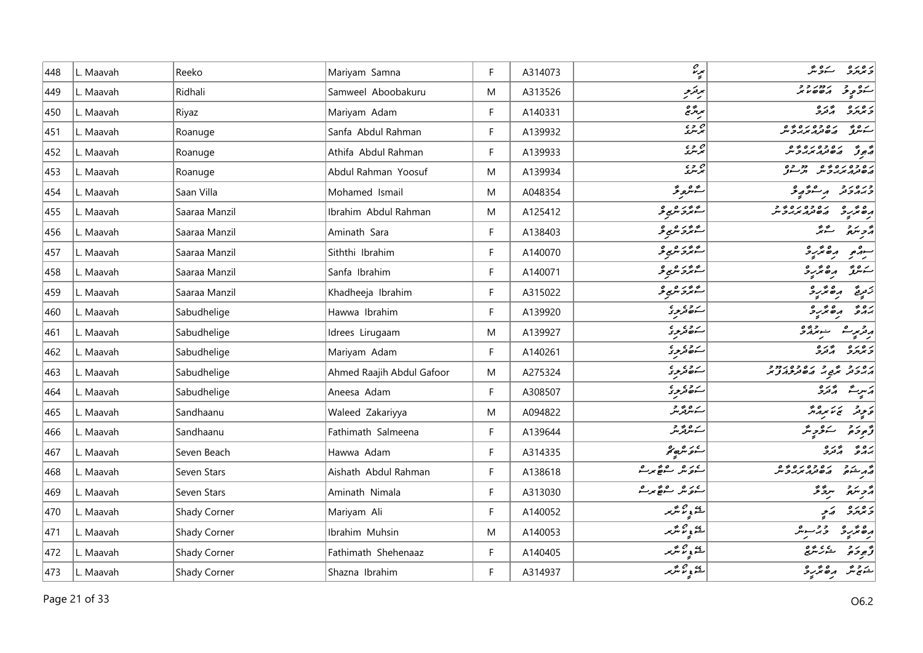| 448 | L. Maavah | Reeko         | Mariyam Samna             | F         | A314073 | بديم                              | سەۋىتر<br>ر ه ر ه                                                    |
|-----|-----------|---------------|---------------------------|-----------|---------|-----------------------------------|----------------------------------------------------------------------|
| 449 | L. Maavah | Ridhali       | Samweel Aboobakuru        | M         | A313526 | ىرىزىر                            | 77/77/<br>سەۋەپچە                                                    |
| 450 | L. Maavah | Riyaz         | Mariyam Adam              | F         | A140331 | بروزم                             | ر ه ر ه<br><del>د</del> بربرو<br>پور ہ<br>مرکزو                      |
| 451 | L. Maavah | Roanuge       | Sanfa Abdul Rahman        | F.        | A139932 | ہ و ،<br>برسر                     | ر ه د ه د ه د ه<br>پره تربر تر بر<br>سەھەيچە                         |
| 452 | L. Maavah | Roanuge       | Athifa Abdul Rahman       | F         | A139933 | ہ و ،<br>برسر                     | ره وه ره د ه<br>په <i>ه تر پر پر</i> تر س<br>رمجوڙ                   |
| 453 | L. Maavah | Roanuge       | Abdul Rahman Yoosuf       | M         | A139934 | م و ،<br>برس                      | נסכסנסים מבקס<br>השנה <i>גיב</i> ית ת—נ                              |
| 454 | L. Maavah | Saan Villa    | Mohamed Ismail            | M         | A048354 | سەمبىرى <i>مۇ</i>                 | כנפנים תפיקים                                                        |
| 455 | L. Maavah | Saaraa Manzil | Ibrahim Abdul Rahman      | ${\sf M}$ | A125412 | <u>شو پره پول</u> و               | ر ٥ ر ٥ ر ٥ ر و و<br>پر <i>ه تر در بر</i> ر<br>ەرھەترىر <sup>ى</sup> |
| 456 | L. Maavah | Saaraa Manzil | Aminath Sara              | F         | A138403 | گەنگەنزىرى<br>سەنگەنزىرى <i>ي</i> | پ <sup>و</sup> پر پر د<br>سەمۇر                                      |
| 457 | L. Maavah | Saaraa Manzil | Siththi Ibrahim           | F         | A140070 | ئەمە <i>ز ش<sub>ە</sub>بۇ</i>     | سوژمو<br>ەرھەترىر <sup>ى</sup>                                       |
| 458 | L. Maavah | Saaraa Manzil | Sanfa Ibrahim             | F.        | A140071 | <u>شوېره پول</u> و                | سەمىر<br>ە ھەمەر 2<br>بەھەمەر 2                                      |
| 459 | L. Maavah | Saaraa Manzil | Khadheeja Ibrahim         | F         | A315022 | <u>ځېږې هې</u> په                 | ئرتورنج<br>م<br>برە ئۆرۈ                                             |
| 460 | L. Maavah | Sabudhelige   | Hawwa Ibrahim             | F         | A139920 | ر و ،<br>سوھ ترمور                | برەپچ<br>مەھمىرى                                                     |
| 461 | L. Maavah | Sabudhelige   | Idrees Lirugaam           | M         | A139927 | سەھ قرىرى<br>سىھ قرىرى            | ويتربر ويده                                                          |
| 462 | L. Maavah | Sabudhelige   | Mariyam Adam              | F         | A140261 | ر د ه د بر پ                      | נים נים ניים<br>כי <i>נ</i> ו <i>נ</i> יפ                            |
| 463 | L. Maavah | Sabudhelige   | Ahmed Raajih Abdul Gafoor | M         | A275324 | ر ده ترو پ                        | ر ه ر د پرې د پره ده د دد د<br>پرېږدنر برې پر پره تر وړنو بر         |
| 464 | L. Maavah | Sabudhelige   | Aneesa Adam               | F         | A308507 | ر و ، د ،                         | أرسرت أرمزد                                                          |
| 465 | L. Maavah | Sandhaanu     | Waleed Zakariyya          | M         | A094822 | ئەمرىرىر                          | وَ وِيْدَ نَجْ مَا مَرِيْدِيْرٌ                                      |
| 466 | L. Maavah | Sandhaanu     | Fathimath Salmeena        | F.        | A139644 | ئەشرىترىتر                        | سەۋەپە ئە<br>توموخي                                                  |
| 467 | L. Maavah | Seven Beach   | Hawwa Adam                | F         | A314335 | يە ئەھەم كە                       | رە پەرە<br>بەدى مەنزى                                                |
| 468 | L. Maavah | Seven Stars   | Aishath Abdul Rahman      | F         | A138618 | يمرش سقومرت                       | ה היים נסיפו בנים                                                    |
| 469 | L. Maavah | Seven Stars   | Aminath Nimala            | F         | A313030 | شوكى شۇمرىش                       | أزحر سرة<br>سرژ تر                                                   |
| 470 | L. Maavah | Shady Corner  | Mariyam Ali               | F         | A140052 | يقني تزكيته                       | أدعده أماسي                                                          |
| 471 | L. Maavah | Shady Corner  | Ibrahim Muhsin            | M         | A140053 | يقني تزيم متزبير                  | ە ھەترىرى<br>بر ھەترىرى<br>لىن ئەسىر بىر<br>مەسىر بىر                |
| 472 | L. Maavah | Shady Corner  | Fathimath Shehenaaz       | F.        | A140405 | القوم تكثير                       | ومجموحهم<br>شەر شەھ                                                  |
| 473 | L. Maavah | Shady Corner  | Shazna Ibrahim            | F         | A314937 | لقوم تكتر                         | شىم شەھەر ئە                                                         |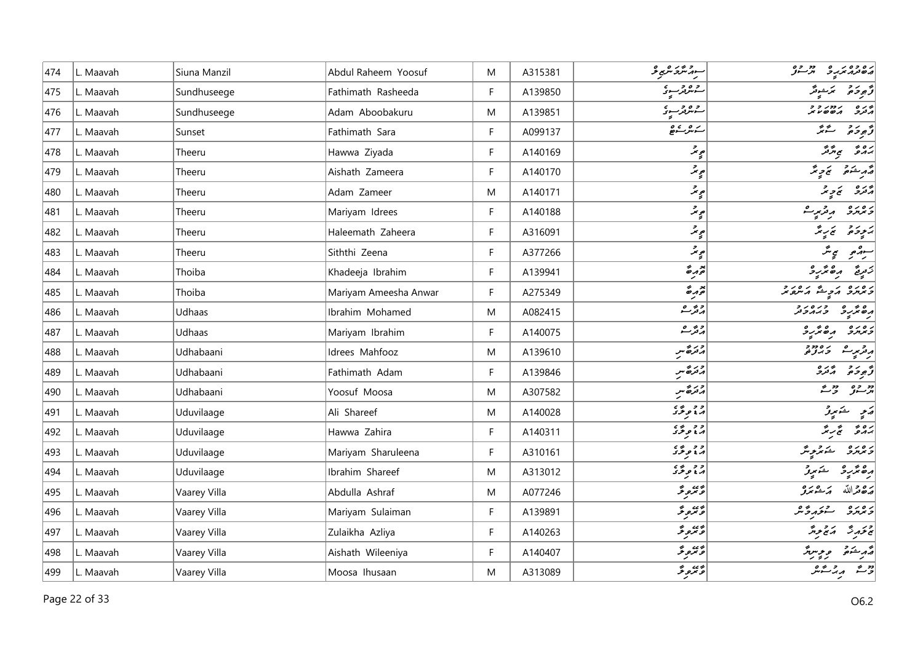| 474 | L. Maavah | Siuna Manzil | Abdul Raheem Yoosuf   | M  | A315381 | سىدىكىنىشى ئىتىلىپ ئىتىلىكى<br>مەسىرى ئىتىلىپ ئىتىل | נסכם ני פריפם<br>הסטה בי תיינ                                                                                   |
|-----|-----------|--------------|-----------------------|----|---------|-----------------------------------------------------|-----------------------------------------------------------------------------------------------------------------|
| 475 | L. Maavah | Sundhuseege  | Fathimath Rasheeda    | F. | A139850 | 2 مۇبۇرسو <sub>كى</sub><br>ئ                        | تزجرخا متمسوش                                                                                                   |
| 476 | L. Maavah | Sundhuseege  | Adam Aboobakuru       | M  | A139851 | 2 مۇيۇسە <sup>ي</sup>                               | 22000 12                                                                                                        |
| 477 | L. Maavah | Sunset       | Fathimath Sara        | F  | A099137 | سەمەر يوھ                                           | سەتەتە<br>و مرد<br>د مردم                                                                                       |
| 478 | L. Maavah | Theeru       | Hawwa Ziyada          | F. | A140169 | مويخر                                               | برە ئە بىر ئە                                                                                                   |
| 479 | L. Maavah | Theeru       | Aishath Zameera       | F  | A140170 | موتنر                                               |                                                                                                                 |
| 480 | L. Maavah | Theeru       | Adam Zameer           | M  | A140171 | و<br>موسمه                                          | وره ځې                                                                                                          |
| 481 | L. Maavah | Theeru       | Mariyam Idrees        | F  | A140188 | مومر                                                |                                                                                                                 |
| 482 | L. Maavah | Theeru       | Haleemath Zaheera     | F  | A316091 | جوبمر                                               |                                                                                                                 |
| 483 | L. Maavah | Theeru       | Siththi Zeena         | F. | A377266 | و<br>موسمه                                          | سودمو<br>ې پېژنې<br>په پېښې                                                                                     |
| 484 | L. Maavah | Thoiba       | Khadeeja Ibrahim      | F. | A139941 | بو<br>مورځ                                          | تزميع مقتررة                                                                                                    |
| 485 | L. Maavah | Thoiba       | Mariyam Ameesha Anwar | F  | A275349 | پر په<br>مورځ                                       | כמתכ הכְבֹּ הייתובת                                                                                             |
| 486 | L. Maavah | Udhaas       | Ibrahim Mohamed       | M  | A082415 | ەر ئەر ھ                                            | 1010 - 1010 - 1010 - 1010 - 1010 - 1010 - 1010 - 1010 - 1010 - 1010 - 1010 - 1010 - 1010 - 1010 - 1010 - 1010 - |
| 487 | L. Maavah | Udhaas       | Mariyam Ibrahim       | F  | A140075 | ەر ئەر ھ                                            | ە ھەترىرى<br>برھەترىرى<br>ر ه ر ه<br>د بر بر                                                                    |
| 488 | L. Maavah | Udhabaani    | Idrees Mahfooz        | M  | A139610 | ج پر پچ سر<br>مرک <b>ت</b> ص                        | ر ۶ ۶۶ و.<br>تر بر تو نمی<br>  روز بر م<br>  ر                                                                  |
| 489 | L. Maavah | Udhabaani    | Fathimath Adam        | F  | A139846 | در په سر                                            | وحجوحهم<br>پھوڑ                                                                                                 |
| 490 | L. Maavah | Udhabaani    | Yoosuf Moosa          | M  | A307582 | <br> پر ترځ س                                       | در مره<br>مرسس <i>ت</i> و<br>دريمه                                                                              |
| 491 | L. Maavah | Uduvilaage   | Ali Shareef           | M  | A140028 | د د په په<br>مرغ موځ په                             | پر چو سند میں تر<br> -                                                                                          |
| 492 | L. Maavah | Uduvilaage   | Hawwa Zahira          | F  | A140311 | د د په په<br>مروغ د                                 | برەپچ<br>پچ پر پټر                                                                                              |
| 493 | L. Maavah | Uduvilaage   | Mariyam Sharuleena    | F. | A310161 | د د په په<br>مرغ تور                                | ر ه ر ه<br>د بربر د<br>ے <del>پ</del> ر موسر                                                                    |
| 494 | L. Maavah | Uduvilaage   | Ibrahim Shareef       | M  | A313012 | د د په په<br>مروغ د                                 | ەرھەترىر <sup>ى</sup><br>شە ئىروگر                                                                              |
| 495 | L. Maavah | Vaarey Villa | Abdulla Ashraf        | M  | A077246 | ۇتئەرگ                                              | برە ترالله<br>بر مش <sub>م</sub> سرو<br>مرت                                                                     |
| 496 | L. Maavah | Vaarey Villa | Mariyam Sulaiman      | F  | A139891 | ء بر<br>حر مرحر محر                                 | ويوبره<br>شۇرۇش                                                                                                 |
| 497 | L. Maavah | Vaarey Villa | Zulaikha Azliya       | F  | A140263 | ۇئىروقر                                             | ويرو مورد                                                                                                       |
| 498 | L. Maavah | Vaarey Villa | Aishath Wileeniya     | F. | A140407 | و پر<br>د تر <sub>حر</sub> څه                       |                                                                                                                 |
| 499 | L. Maavah | Vaarey Villa | Moosa Ihusaan         | M  | A313089 | ۇتئەرگ                                              | وحد من شهر                                                                                                      |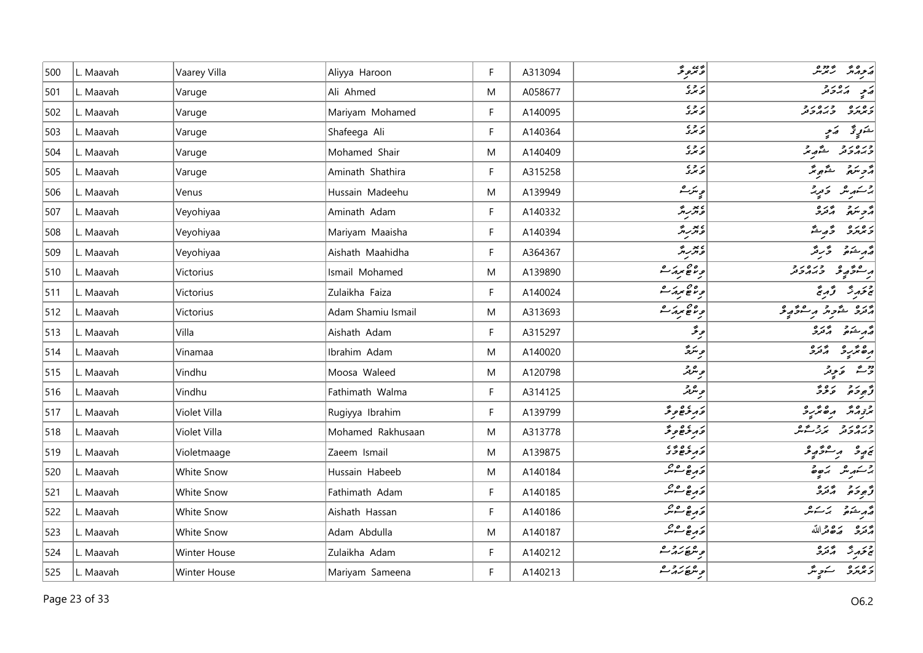| 500 | L. Maavah | Vaarey Villa        | Aliyya Haroon      | F         | A313094 | و بر<br>  عربر عر                                                                                                                         | یر دو ه<br>رنجو مثر<br>59,50                                                                                                                                                                                                    |
|-----|-----------|---------------------|--------------------|-----------|---------|-------------------------------------------------------------------------------------------------------------------------------------------|---------------------------------------------------------------------------------------------------------------------------------------------------------------------------------------------------------------------------------|
| 501 | L. Maavah | Varuge              | Ali Ahmed          | M         | A058677 | ر و ،<br>حريمر                                                                                                                            | أقدمي أترومو                                                                                                                                                                                                                    |
| 502 | L. Maavah | Varuge              | Mariyam Mohamed    | F         | A140095 | ر و ،<br>و بر د                                                                                                                           | و رە ر د<br>تر پروتر<br>ويوبره                                                                                                                                                                                                  |
| 503 | L. Maavah | Varuge              | Shafeega Ali       | F         | A140364 | ر و ،<br>و بر د                                                                                                                           | لمشروق أمامي                                                                                                                                                                                                                    |
| 504 | L. Maavah | Varuge              | Mohamed Shair      | ${\sf M}$ | A140409 | ر و ،<br>حريمر                                                                                                                            | و ر ه ر د<br>تر بر بر تر<br>شگەر تر                                                                                                                                                                                             |
| 505 | L. Maavah | Varuge              | Aminath Shathira   | F         | A315258 | ر و ،<br>و بر د                                                                                                                           | ۇرسىتى شەھ                                                                                                                                                                                                                      |
| 506 | L. Maavah | Venus               | Hussain Madeehu    | M         | A139949 | ا <sub>ھب</sub> ىئرقە                                                                                                                     | يز سکه شهر او کار پرچم                                                                                                                                                                                                          |
| 507 | L. Maavah | Veyohiyaa           | Aminath Adam       | F         | A140332 | ) بو بر پژ                                                                                                                                | أأدخر المتحرم                                                                                                                                                                                                                   |
| 508 | L. Maavah | Veyohiyaa           | Mariyam Maaisha    | F         | A140394 | میر پژ                                                                                                                                    | رەرە ۇرىگ                                                                                                                                                                                                                       |
| 509 | L. Maavah | Veyohiyaa           | Aishath Maahidha   | F         | A364367 | ۍ پر<br>د هرمرمر                                                                                                                          | وكرمشكم وتحرقر                                                                                                                                                                                                                  |
| 510 | L. Maavah | Victorius           | Ismail Mohamed     | M         | A139890 | ومقديره                                                                                                                                   | و عرّوم وره دو                                                                                                                                                                                                                  |
| 511 | L. Maavah | Victorius           | Zulaikha Faiza     | F         | A140024 | <br> عريق مرير شر                                                                                                                         | يحركم ومرتج                                                                                                                                                                                                                     |
| 512 | L. Maavah | Victorius           | Adam Shamiu Ismail | ${\sf M}$ | A313693 | وتقصيرك                                                                                                                                   | وره څرمر مشور                                                                                                                                                                                                                   |
| 513 | L. Maavah | Villa               | Aishath Adam       | F         | A315297 | عرتم                                                                                                                                      | و شرح و دره<br>مگر شو محمد                                                                                                                                                                                                      |
| 514 | L. Maavah | Vinamaa             | Ibrahim Adam       | ${\sf M}$ | A140020 | ە ئىرگە                                                                                                                                   | ەرگەر<br>ەرھەتمەر <i>ۋ</i>                                                                                                                                                                                                      |
| 515 | L. Maavah | Vindhu              | Moosa Waleed       | ${\sf M}$ | A120798 | و سربر                                                                                                                                    | ورمح وَمُحِمَّد                                                                                                                                                                                                                 |
| 516 | L. Maavah | Vindhu              | Fathimath Walma    | F         | A314125 | و سردگر                                                                                                                                   | توجدة المره والمحمدة                                                                                                                                                                                                            |
| 517 | L. Maavah | Violet Villa        | Rugiyya Ibrahim    | F         | A139799 | ئەرىۋە بۇ ئە                                                                                                                              | ב במי הסתיב                                                                                                                                                                                                                     |
| 518 | L. Maavah | Violet Villa        | Mohamed Rakhusaan  | M         | A313778 | ءَ ٻر ڏھ عر ٿُر                                                                                                                           | ورەرو پروگېر                                                                                                                                                                                                                    |
| 519 | L. Maavah | Violetmaage         | Zaeem Ismail       | ${\sf M}$ | A139875 |                                                                                                                                           | ەرسىۋەپەيجە<br>ئے م <sub>ی</sub> ے<br>پ                                                                                                                                                                                         |
| 520 | L. Maavah | <b>White Snow</b>   | Hussain Habeeb     | ${\sf M}$ | A140184 | أقرم هوه عيثر                                                                                                                             | جر سکور میں مرکز کے تعارف کے حاصرت کے میں تعارف کے میں ان کے میں ان کے ان کے میں ان کے میں ان کے میں ان کے می<br>میں کہ میں میں ان کے میں ان کے میں ان کے میں ان کے میں ان کے میں کہا کہ ان کے میں ان کے میں ان کے میں ان کے می |
| 521 | L. Maavah | White Snow          | Fathimath Adam     | F         | A140185 | لحرم وعشر                                                                                                                                 | و دره په دره                                                                                                                                                                                                                    |
| 522 | L. Maavah | White Snow          | Aishath Hassan     | F         | A140186 | $\begin{array}{c c} \hline \begin{array}{c} \mathcal{C} & \mathcal{C} \\ \mathcal{C} & \mathcal{C} \end{array} & \mathcal{A} \end{array}$ | مەر شىم كەسكىر                                                                                                                                                                                                                  |
| 523 | L. Maavah | White Snow          | Adam Abdulla       | ${\sf M}$ | A140187 | وَرِءٍ شَرَسَ                                                                                                                             | وره ره والله                                                                                                                                                                                                                    |
| 524 | L. Maavah | Winter House        | Zulaikha Adam      | F         | A140212 | <br> ع <sub>ر</sub> س جو بر جر ے                                                                                                          | پر ہ<br>مرکزو<br> ترخرجر بحر                                                                                                                                                                                                    |
| 525 | L. Maavah | <b>Winter House</b> | Mariyam Sameena    | F         | A140213 | ومروج ئرور                                                                                                                                | دەرە سەرش                                                                                                                                                                                                                       |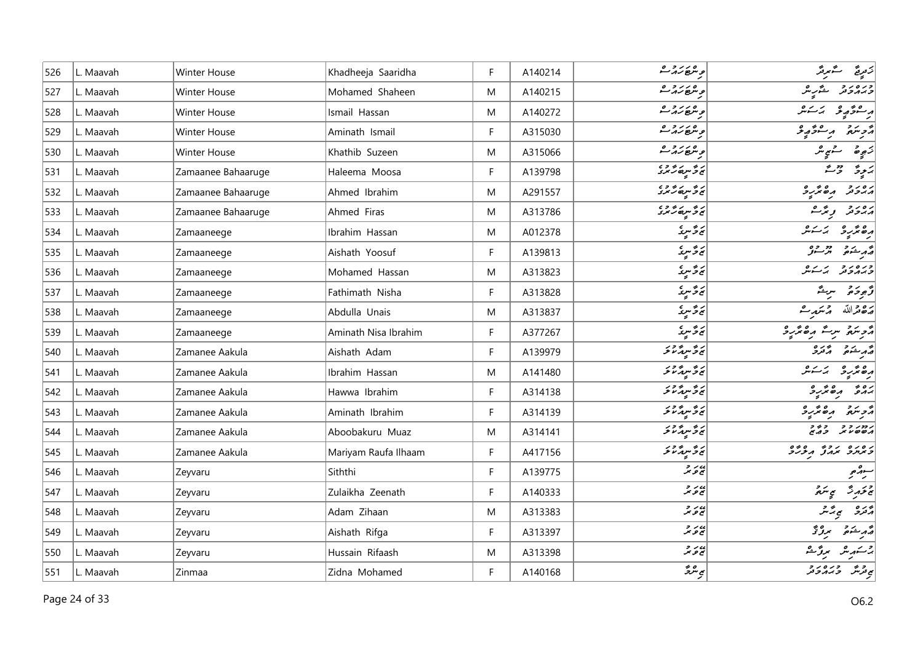| 526 | L. Maavah  | Winter House        | Khadheeja Saaridha   | F  | A140214 | <i>ە ئەھەرەر 2</i>                          | ستمعرقر<br> ترمرچً                                  |
|-----|------------|---------------------|----------------------|----|---------|---------------------------------------------|-----------------------------------------------------|
| 527 | L. Maavah  | Winter House        | Mohamed Shaheen      | M  | A140215 | ومثرج ترور م                                | و ر ه ر د<br>تر پر ژ تر<br>ىشترىتىر                 |
| 528 | L. Maavah  | <b>Winter House</b> | Ismail Hassan        | M  | A140272 | <sub>ع</sub> بىر ئەرمىسى                    | ر جۇرپۇ بارىكە                                      |
| 529 | L. Maavah  | <b>Winter House</b> | Aminath Ismail       | F  | A315030 | <sub>ع</sub> مربح سر تر م                   | أروسية<br>ەرسۇم ۋ                                   |
| 530 | L. Maavah  | <b>Winter House</b> | Khathib Suzeen       | M  | A315066 | المرهوزة في                                 | ر<br>زېږه<br>شمېچ مگر                               |
| 531 | L. Maavah  | Zamaanee Bahaaruge  | Haleema Moosa        | F  | A139798 | ر و سرچ ر و ،<br>پخ ر سرچ ر سری             | برَوِرٌ<br>دو مئے                                   |
| 532 | L. Maavah  | Zamaanee Bahaaruge  | Ahmed Ibrahim        | M  | A291557 | پرځسرچ تر بر د<br>  پرځسرچ تر بر د          | پروژ تر<br>ە ھەترىرى                                |
| 533 | L. Maavah  | Zamaanee Bahaaruge  | Ahmed Firas          | M  | A313786 | ر و سرچ ر و ،<br>پخ ر سرچ ر بر <sub>و</sub> | ړه پر ویژے                                          |
| 534 | L. Maavah  | Zamaaneege          | Ibrahim Hassan       | M  | A012378 | <br>  ئاڭرىپىدىگە                           | پرځېمتر په د<br>برسەمىر                             |
| 535 | L. Maavah  | Zamaaneege          | Aishath Yoosuf       | F. | A139813 | ر<br>ئەڭ س <sub>ى</sub> ر                   | ه در دو وه<br>د کار شو در دو                        |
| 536 | L. Maavah  | Zamaaneege          | Mohamed Hassan       | M  | A313823 | ىر ئ <sup>ۇ</sup> س <sub>ى</sub> نج         | ورەرو پەسەر                                         |
| 537 | L. Maavah  | Zamaaneege          | Fathimath Nisha      | F  | A313828 | پر محمد پر<br>پر ځ                          | تؤجر كرد بالرائية                                   |
| 538 | L. Maavah  | Zamaaneege          | Abdulla Unais        | M  | A313837 | ئەۋسىدى                                     | مەھىراللە مەسمەت                                    |
| 539 | L. Maavah  | Zamaaneege          | Aminath Nisa Ibrahim | F  | A377267 | ىر ئ <sup>ە</sup> سرىدى<br>ئ                | أأدبتهم بربء أركا أردد                              |
| 540 | L. Maavah  | Zamanee Aakula      | Aishath Adam         | F  | A139979 | ىر ئەسرى <i>مى</i> رىكى<br>ئ                | ه د شکوه او دره<br>د مرکز د کردر                    |
| 541 | L. Maavah  | Zamanee Aakula      | Ibrahim Hassan       | M  | A141480 | ىر ئ <sup>ې</sup> رىدىكە ئىر                | ىر ھەتتەر 2<br>ب<br>برسەمىر                         |
| 542 | L. Maavah  | Zamanee Aakula      | Hawwa Ibrahim        | F  | A314138 | ئەۋسىد ئەز                                  |                                                     |
| 543 | L. Maavah  | Zamanee Aakula      | Aminath Ibrahim      | F. | A314139 | ر ۋ <sub>ىبىد</sub> ر ئەز                   | برە ئۆر ۋ<br>ړځ سره                                 |
| 544 | L. Maavah  | Zamanee Aakula      | Aboobakuru Muaz      | M  | A314141 | ىر ئەس <i>بەر ئە</i>                        | נ בב ג כ<br>1. סיס מ' מ<br>و د بر<br>تر <i>ه</i> مح |
| 545 | L. Maavah  | Zamanee Aakula      | Mariyam Raufa Ilhaam | F  | A417156 | ئەۋسىد ئەز                                  | גם גם גבע בסעם<br>בינו <i>ניב</i> מגניב             |
| 546 | L. Maavah  | Zeyvaru             | Siththi              | F  | A139775 | ں ر و<br>مح حرمر                            | سودھو                                               |
| 547 | L. Maavah  | Zeyvaru             | Zulaikha Zeenath     | F  | A140333 | ں ر ح<br>سی حر                              |                                                     |
| 548 | LL. Maavah | Zeyvaru             | Adam Zihaan          | M  | A313383 | ،، ر و<br>مح حر                             | وره پرځم                                            |
| 549 | L. Maavah  | Zeyvaru             | Aishath Rifga        | F  | A313397 | ی ر و<br>مح حر مر                           | أمام شوه بروتما                                     |
| 550 | L. Maavah  | Zeyvaru             | Hussain Rifaash      | M  | A313398 | ی ر و<br>مح حر مر                           | برسكريش بروث                                        |
| 551 | L. Maavah  | Zinmaa              | Zidna Mohamed        | F  | A140168 | ىبوشر                                       | پرترش وره د و                                       |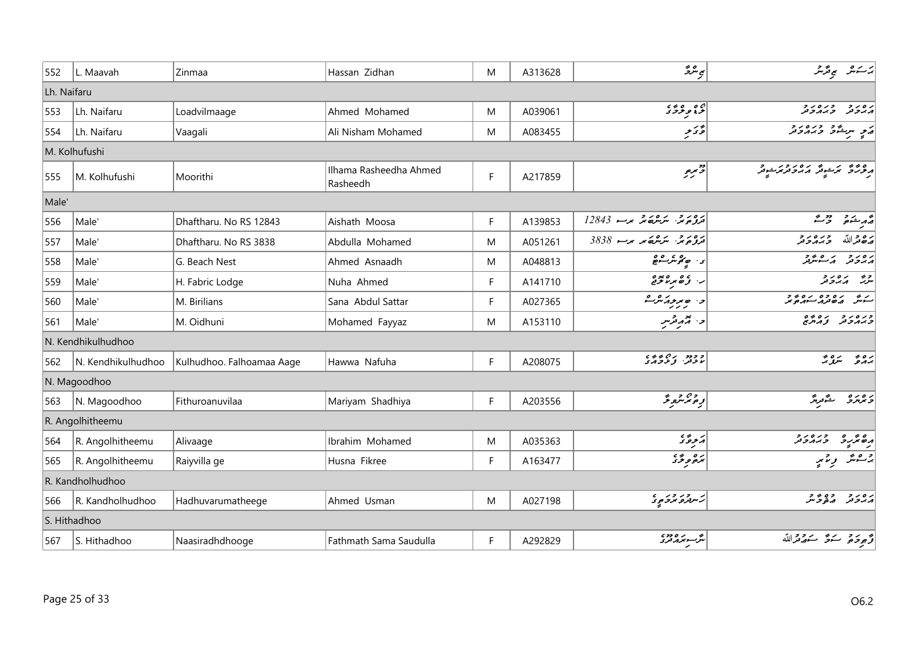| 552         | L. Maavah          | Zinmaa                    | Hassan Zidhan                      | M           | A313628 | ىبى ئىرگە                                       | پرسەنىش پى قىرىتىر                                           |
|-------------|--------------------|---------------------------|------------------------------------|-------------|---------|-------------------------------------------------|--------------------------------------------------------------|
| Lh. Naifaru |                    |                           |                                    |             |         |                                                 |                                                              |
| 553         | Lh. Naifaru        | Loadvilmaage              | Ahmed Mohamed                      | M           | A039061 | م و و و و <u>و</u> و و به ا                     | גפני כנסני                                                   |
| 554         | Lh. Naifaru        | Vaagali                   | Ali Nisham Mohamed                 | M           | A083455 | عدّى محرِ                                       | أرو سر شو وره دو                                             |
|             | M. Kolhufushi      |                           |                                    |             |         |                                                 |                                                              |
| 555         | M. Kolhufushi      | Moorithi                  | Ilhama Rasheedha Ahmed<br>Rasheedh | F           | A217859 | أقرمرمو                                         | ە ئەمەر كەن ئەمەدىرىدە ئەمەر<br>مەنزىق كەن ئەمەر ئەمەر ئەمەر |
| Male'       |                    |                           |                                    |             |         |                                                 |                                                              |
| 556         | Male'              | Dhaftharu. No RS 12843    | Aishath Moosa                      | F           | A139853 | قرزەبر: سەھەتمە برسە 12843                      | ړه شوه ورځ                                                   |
| 557         | Male'              | Dhaftharu. No RS 3838     | Abdulla Mohamed                    | M           | A051261 | رەرى ئەسكەن ئەسە 3838                           | برە تراللە<br>و ر ه ر و<br>تر پر ژ تر                        |
| 558         | Male'              | G. Beach Nest             | Ahmed Asnaadh                      | M           | A048813 | ى ھەھمىرىسى                                     | رەرو رەپەر                                                   |
| 559         | Male'              | H. Fabric Lodge           | Nuha Ahmed                         | F           | A141710 | ر و و ه بر را بره                               | وه ده دو                                                     |
| 560         | Male'              | M. Birilians              | Sana Abdul Sattar                  | F           | A027365 | د معدد مشرف<br>مسیر مشرف                        | ر ده ده ده ده دو د                                           |
| 561         | Male'              | M. Oidhuni                | Mohamed Fayyaz                     | M           | A153110 | ح به محمد قرمبر<br>ح                            | כנסנכ נסמס<br>כגמכנג נמתא                                    |
|             | N. Kendhikulhudhoo |                           |                                    |             |         |                                                 |                                                              |
| 562         | N. Kendhikulhudhoo | Kulhudhoo. Falhoamaa Aage | Hawwa Nafuha                       | $\mathsf F$ | A208075 | ב ככב - קרי ב- ב- ב-<br>מי ביטור - פי ב- הרי ב- | سرە بۇ<br>رە بە<br>برادى                                     |
|             | N. Magoodhoo       |                           |                                    |             |         |                                                 |                                                              |
| 563         | N. Magoodhoo       | Fithuroanuvilaa           | Mariyam Shadhiya                   | $\mathsf F$ | A203556 | ر وه تر <sub>مر</sub> په گ                      | رەرە شەرپۇ                                                   |
|             | R. Angolhitheemu   |                           |                                    |             |         |                                                 |                                                              |
| 564         | R. Angolhitheemu   | Alivaage                  | Ibrahim Mohamed                    | M           | A035363 | پر پر پر                                        | و ر ٥ ر و<br>تر پر تر تر<br>ىر ھەتتەر 2<br>ب                 |
| 565         | R. Angolhitheemu   | Raiyvilla ge              | Husna Fikree                       | F           | A163477 | ىرە <sub>م</sub> وقى ئە                         | د ه پېژند ورتمبر                                             |
|             | R. Kandholhudhoo   |                           |                                    |             |         |                                                 |                                                              |
| 566         | R. Kandholhudhoo   | Hadhuvarumatheege         | Ahmed Usman                        | M           | A027198 | ر سرور ور<br>د سرفرو مروم و                     | גפגב בפיבב                                                   |
|             | S. Hithadhoo       |                           |                                    |             |         |                                                 |                                                              |
| 567         | S. Hithadhoo       | Naasiradhdhooge           | Fathmath Sama Saudulla             | F           | A292829 | پژسه نره دد ›<br>مرگسه نیرو تری                 | قرج وحرمر كحفظ كالمتفقر الله                                 |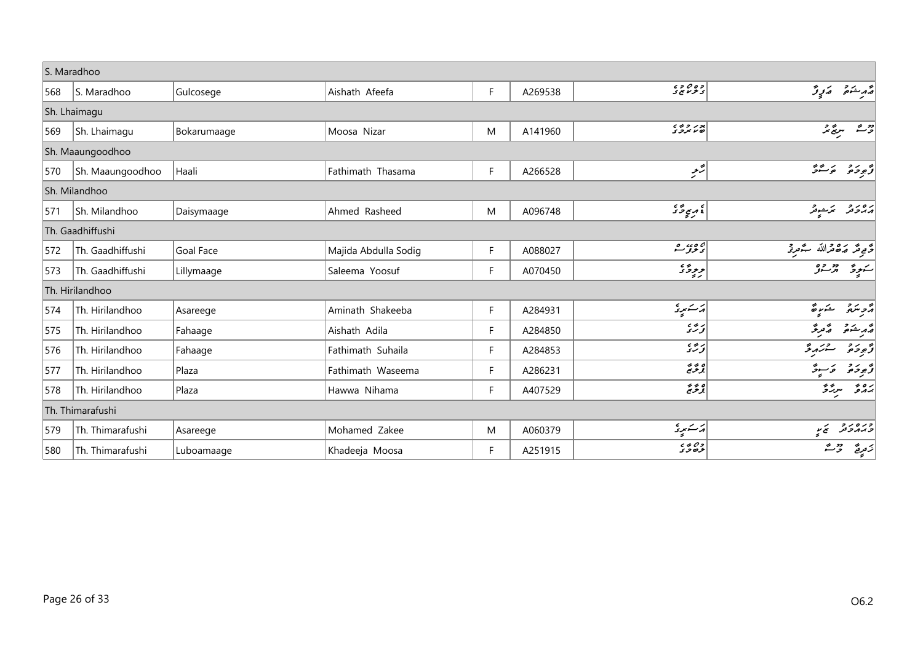|     | S. Maradhoo      |              |                      |           |         |                                |                                                 |
|-----|------------------|--------------|----------------------|-----------|---------|--------------------------------|-------------------------------------------------|
| 568 | S. Maradhoo      | Gulcosege    | Aishath Afeefa       | F         | A269538 | د و ۵ و ء<br>د نوم مي د        | أشهر مشتور أشروقه                               |
|     | Sh. Lhaimagu     |              |                      |           |         |                                |                                                 |
| 569 | Sh. Lhaimagu     | Bokarumaage  | Moosa Nizar          | M         | A141960 | پر ر د » ،<br><i>ه ۷ برد د</i> | دیں مشر<br>سرچ تر                               |
|     | Sh. Maaungoodhoo |              |                      |           |         |                                |                                                 |
| 570 | Sh. Maaungoodhoo | Haali        | Fathimath Thasama    | F         | A266528 | شعر                            | و ده د وځ                                       |
|     | Sh. Milandhoo    |              |                      |           |         |                                |                                                 |
| 571 | Sh. Milandhoo    | Daisymaage   | Ahmed Rasheed        | M         | A096748 | ۽ مربح پڙي<br>  ۽ مربح پڙي     | پرورو کرجونگر                                   |
|     | Th. Gaadhiffushi |              |                      |           |         |                                |                                                 |
| 572 | Th. Gaadhiffushi | Goal Face    | Majida Abdulla Sodig | F.        | A088027 | ? ه ۽، م<br>  ر                | دَّمِينَّہُ رَءُمَّاللَّهُ جَنَّورِ جَ          |
| 573 | Th. Gaadhiffushi | Lillymaage   | Saleema Yoosuf       | F         | A070450 | ووژء                           | سەبەر ھەردە                                     |
|     | Th. Hirilandhoo  |              |                      |           |         |                                |                                                 |
| 574 | Th. Hirilandhoo  | Asareege     | Aminath Shakeeba     | F         | A284931 | بر کے ہو ج<br>مرگ              | ړ د سرچ<br>شەَ بە ھ                             |
| 575 | Th. Hirilandhoo  | Fahaage      | Aishath Adila        | F         | A284850 | ر و ،<br>قرگری                 | أمار مشمور مامراقل                              |
| 576 | Th. Hirilandhoo  | Fahaage      | Fathimath Suhaila    | F         | A284853 | تر پر پر                       | شەرىر ئى<br>ءِ پر د                             |
| 577 | Th. Hirilandhoo  | Plaza        | Fathimath Waseema    | F         | A286231 | پوځيج                          | ۇ بوز ە<br>ە ئەسىرىتى                           |
| 578 | Th. Hirilandhoo  | <b>Plaza</b> | Hawwa Nihama         | F         | A407529 | پوځيځ                          | رە بە<br>برادى<br>سررگر                         |
|     | Th. Thimarafushi |              |                      |           |         |                                |                                                 |
| 579 | Th. Thimarafushi | Asareege     | Mohamed Zakee        | ${\sf M}$ | A060379 | لئرسكمبرتج                     | و ره ر و<br><i>و پر</i> و تر<br>$\tilde{z} \in$ |
| 580 | Th. Thimarafushi | Luboamaage   | Khadeeja Moosa       | F         | A251915 |                                | زَمِرِجٌ حَ"سٌمُ                                |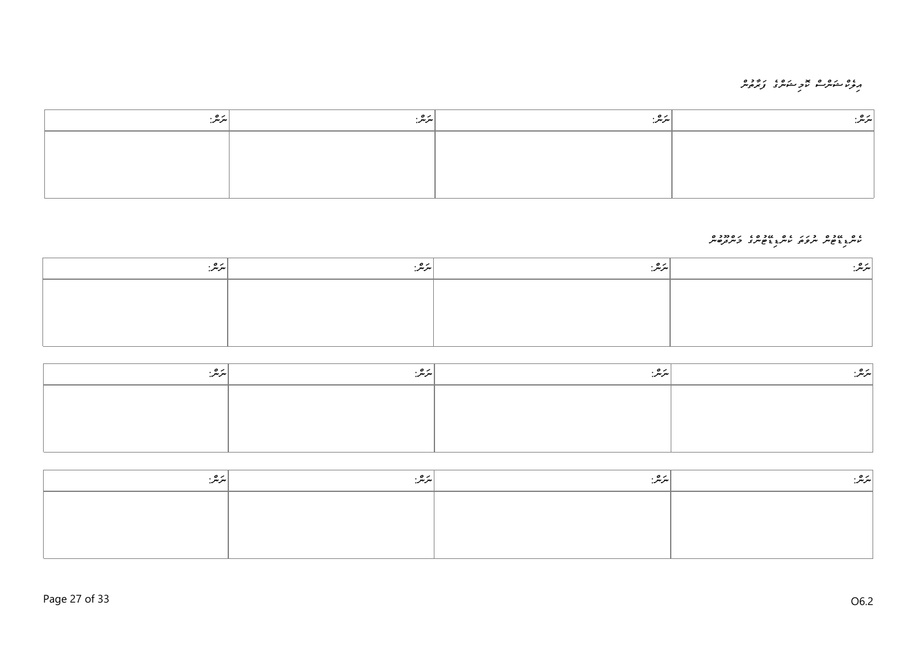## *w7qAn8m? sCw7mRo>u; wEw7mRw;sBo<*

| ' مرمر | 'يئرىثر: |
|--------|----------|
|        |          |
|        |          |
|        |          |

## *w7q9r@w7m> sCw7qHtFoFw7s; mAm=q7 w7qHtFoFw7s;*

| ىر تە | $\mathcal{O} \times$<br>$\sim$ | $\sim$<br>. . | لترنثر |
|-------|--------------------------------|---------------|--------|
|       |                                |               |        |
|       |                                |               |        |
|       |                                |               |        |

| انترنثر: | $^{\circ}$ | يبرهر | $^{\circ}$<br>سرسر |
|----------|------------|-------|--------------------|
|          |            |       |                    |
|          |            |       |                    |
|          |            |       |                    |

| ' ئىرتىر: | سر سر |  |
|-----------|-------|--|
|           |       |  |
|           |       |  |
|           |       |  |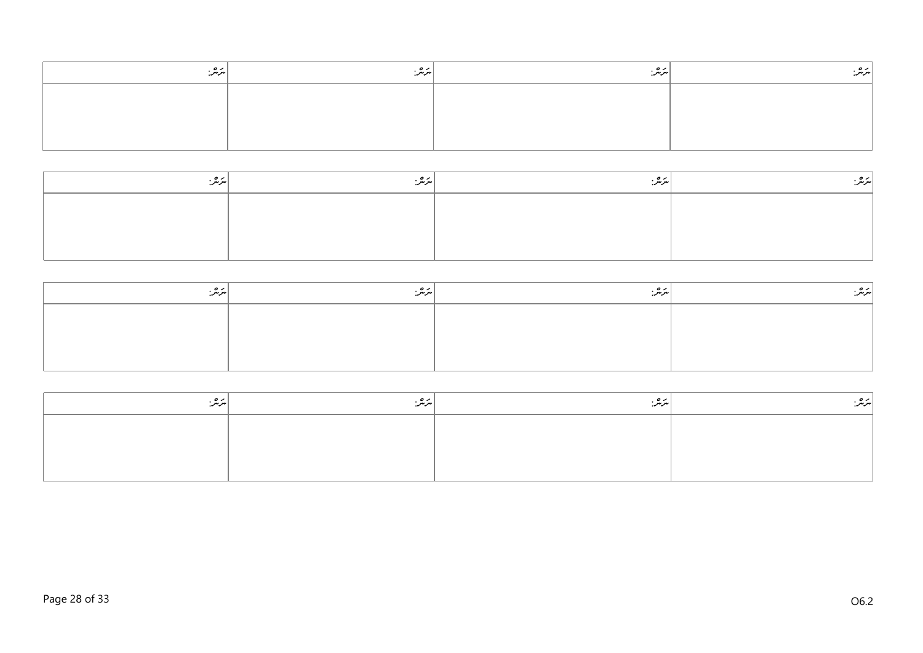| يزهر | $^{\circ}$ | ىئرىتر: |  |
|------|------------|---------|--|
|      |            |         |  |
|      |            |         |  |
|      |            |         |  |

| متريثر به | 。<br>'سرسر'۔ | يتزيترا | سرسر |
|-----------|--------------|---------|------|
|           |              |         |      |
|           |              |         |      |
|           |              |         |      |

| ىئرىتر. | $\sim$ | ا بر هه. | لىرىش |
|---------|--------|----------|-------|
|         |        |          |       |
|         |        |          |       |
|         |        |          |       |

| 。<br>مرس. | $\overline{\phantom{a}}$<br>مر مىر | يتريثر |
|-----------|------------------------------------|--------|
|           |                                    |        |
|           |                                    |        |
|           |                                    |        |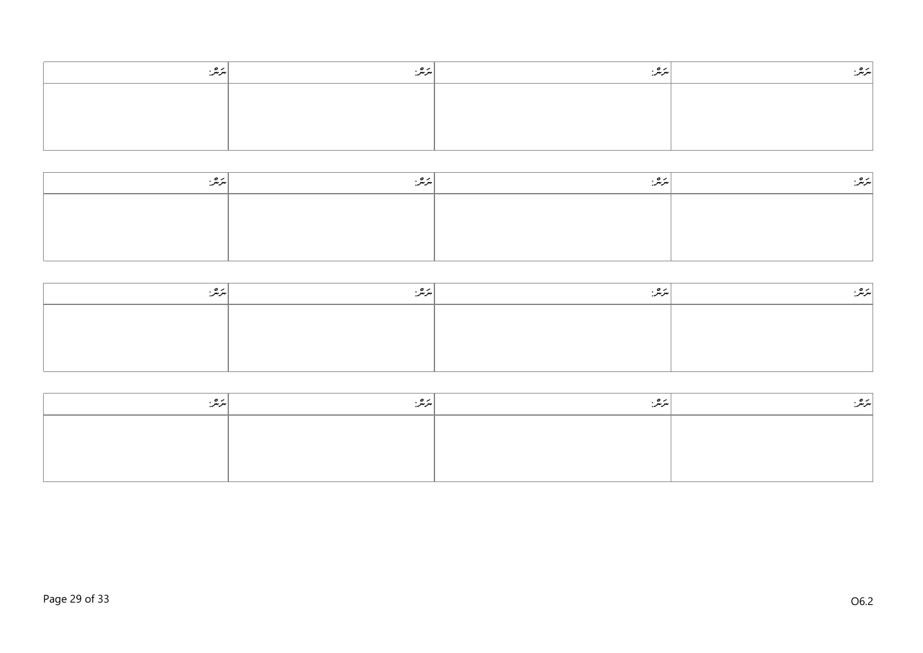| ير هو . | $\overline{\phantom{a}}$ | يرمر | اير هنه. |
|---------|--------------------------|------|----------|
|         |                          |      |          |
|         |                          |      |          |
|         |                          |      |          |

| ىر تىر: | $\circ$ $\sim$<br>" سرسر . | يبرحه | o . |
|---------|----------------------------|-------|-----|
|         |                            |       |     |
|         |                            |       |     |
|         |                            |       |     |

| 'تترنثر: | 。<br>,,,, |  |
|----------|-----------|--|
|          |           |  |
|          |           |  |
|          |           |  |

|  | . ه |
|--|-----|
|  |     |
|  |     |
|  |     |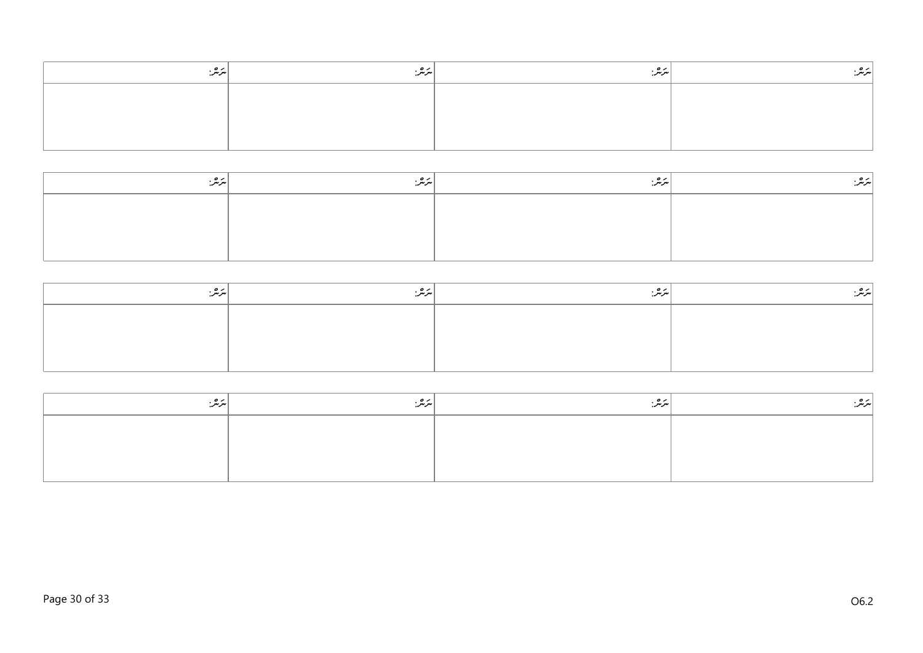| ير هو . | $\overline{\phantom{a}}$ | يرمر | اير هنه. |
|---------|--------------------------|------|----------|
|         |                          |      |          |
|         |                          |      |          |
|         |                          |      |          |

| ىر تىر: | $\circ$ $\sim$<br>" سرسر . | يبرحه | o . |
|---------|----------------------------|-------|-----|
|         |                            |       |     |
|         |                            |       |     |
|         |                            |       |     |

| 'تترنثر: | ο. | . .<br>يسمونس. |  |
|----------|----|----------------|--|
|          |    |                |  |
|          |    |                |  |
|          |    |                |  |

|  | . ه |
|--|-----|
|  |     |
|  |     |
|  |     |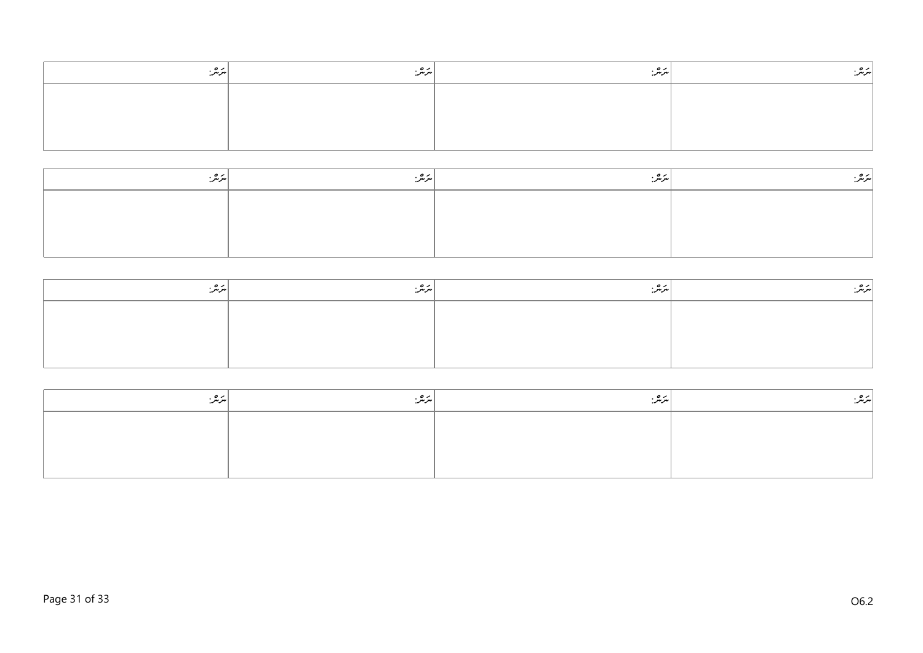| $\frac{\circ}{\cdot}$ | 。 | $\frac{\circ}{\cdot}$ | $\sim$<br>سرسر |
|-----------------------|---|-----------------------|----------------|
|                       |   |                       |                |
|                       |   |                       |                |
|                       |   |                       |                |

| ترتثر: | َ سرسر. |  |
|--------|---------|--|
|        |         |  |
|        |         |  |
|        |         |  |

| بر ه | . ه | $\sim$<br>سرسر |  |
|------|-----|----------------|--|
|      |     |                |  |
|      |     |                |  |
|      |     |                |  |

| 。<br>. س | ىرىىر |  |
|----------|-------|--|
|          |       |  |
|          |       |  |
|          |       |  |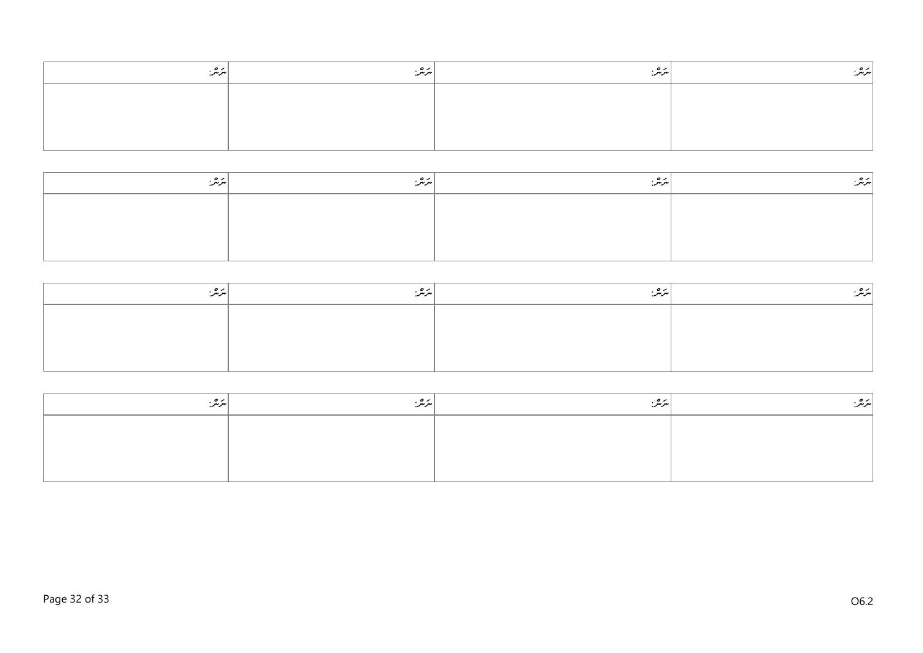| ير هو . | $\overline{\phantom{a}}$ | يرمر | اير هنه. |
|---------|--------------------------|------|----------|
|         |                          |      |          |
|         |                          |      |          |
|         |                          |      |          |

| ىر تىر: | $\circ$ $\sim$<br>" سرسر . | يبرحه | o . |
|---------|----------------------------|-------|-----|
|         |                            |       |     |
|         |                            |       |     |
|         |                            |       |     |

| 'تترنثر: | . .<br>يسمونس. |  |
|----------|----------------|--|
|          |                |  |
|          |                |  |
|          |                |  |

|  | . ه |
|--|-----|
|  |     |
|  |     |
|  |     |